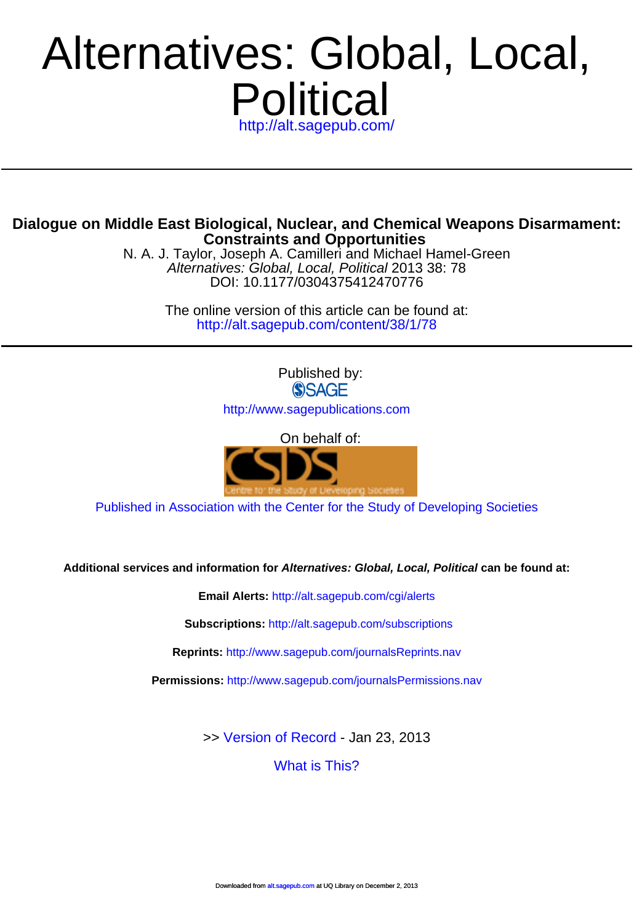# **Political** <http://alt.sagepub.com/> Al[ternatives: Global, Loc](http://www.csds.in/)al,

# **Constrai[nts and Opportunities](http://alt.sagepub.com/cgi/alerts) Dialogue on Middle East Biological, Nuclear, and Chemical Weapons Disarmament:**

DOI: 10.1177/0304375412470776 Alternatives: Global, Local, Political 2013 38: 78 N. A. J. Taylor, Joseph A. Camilleri and Michael Hamel-Green

> <http://alt.sagepub.com/content/38/1/78> The online versi[on of this article can be found a](http://alt.sagepub.com/subscriptions)t:

> > Published by: **SSAGE**

<http://www.sagepublications.com>

On behalf of:



[Published in Association with the Center for the Study of Developing Societies](http://www.csds.in/)

#### **Additional services and information for [Alternatives: G](http://online.sagepub.com/site/sphelp/vorhelp.xhtml)lobal, Local, Political can be found at:**

**Email Alerts:** <http://alt.sagepub.com/cgi/alerts>

**Subscriptions:** <http://alt.sagepub.com/subscriptions>

**Reprints:** <http://www.sagepub.com/journalsReprints.nav>

**Permissions:** <http://www.sagepub.com/journalsPermissions.nav>

>> [Version of Record -](http://alt.sagepub.com/content/38/1/78.full.pdf) Jan 23, 2013

[What is This?](http://online.sagepub.com/site/sphelp/vorhelp.xhtml)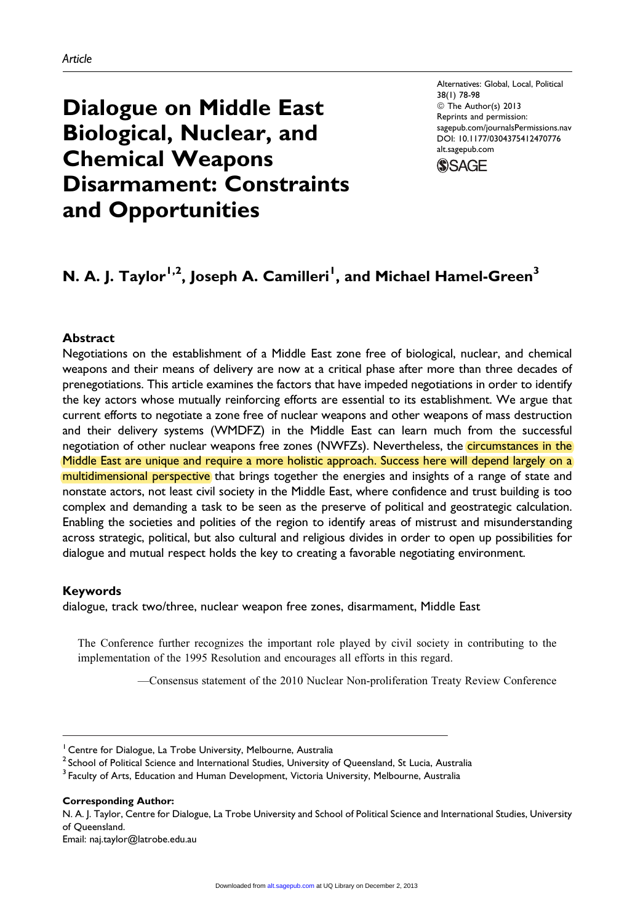# Dialogue on Middle East Biological, Nuclear, and Chemical Weapons Disarmament: Constraints and Opportunities

Alternatives: Global, Local, Political 38(1) 78-98 © The Author(s) 2013 Reprints and permission: sagepub.com/journalsPermissions.nav DOI: 10.1177/0304375412470776 [alt.sagepub.com](http://alt.sagepub.com) **SSAGE** 



#### **Abstract**

Negotiations on the establishment of a Middle East zone free of biological, nuclear, and chemical weapons and their means of delivery are now at a critical phase after more than three decades of prenegotiations. This article examines the factors that have impeded negotiations in order to identify the key actors whose mutually reinforcing efforts are essential to its establishment. We argue that current efforts to negotiate a zone free of nuclear weapons and other weapons of mass destruction and their delivery systems (WMDFZ) in the Middle East can learn much from the successful negotiation of other nuclear weapons free zones (NWFZs). Nevertheless, the circumstances in the Middle East are unique and require a more holistic approach. Success here will depend largely on a multidimensional perspective that brings together the energies and insights of a range of state and nonstate actors, not least civil society in the Middle East, where confidence and trust building is too complex and demanding a task to be seen as the preserve of political and geostrategic calculation. Enabling the societies and polities of the region to identify areas of mistrust and misunderstanding across strategic, political, but also cultural and religious divides in order to open up possibilities for dialogue and mutual respect holds the key to creating a favorable negotiating environment.

#### Keywords

dialogue, track two/three, nuclear weapon free zones, disarmament, Middle East

The Conference further recognizes the important role played by civil society in contributing to the implementation of the 1995 Resolution and encourages all efforts in this regard.

—Consensus statement of the 2010 Nuclear Non-proliferation Treaty Review Conference

<sup>2</sup> School of Political Science and International Studies, University of Queensland, St Lucia, Australia

#### Corresponding Author:

N. A. J. Taylor, Centre for Dialogue, La Trobe University and School of Political Science and International Studies, University of Queensland.

Email: naj.taylor@latrobe.edu.au

<sup>1</sup> Centre for Dialogue, La Trobe University, Melbourne, Australia

<sup>&</sup>lt;sup>3</sup> Faculty of Arts, Education and Human Development, Victoria University, Melbourne, Australia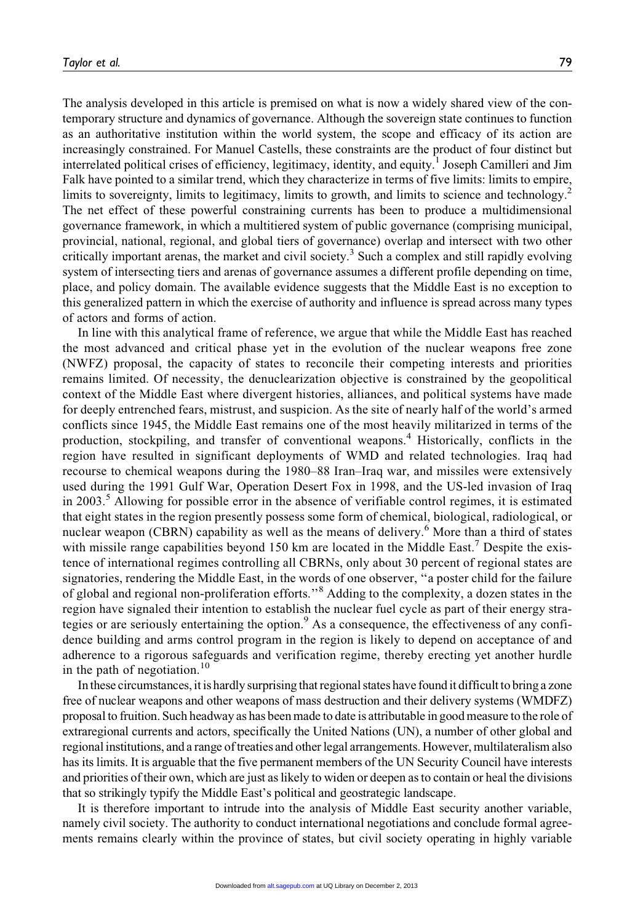The analysis developed in this article is premised on what is now a widely shared view of the contemporary structure and dynamics of governance. Although the sovereign state continues to function as an authoritative institution within the world system, the scope and efficacy of its action are increasingly constrained. For Manuel Castells, these constraints are the product of four distinct but interrelated political crises of efficiency, legitimacy, identity, and equity.<sup>1</sup> Joseph Camilleri and Jim Falk have pointed to a similar trend, which they characterize in terms of five limits: limits to empire, limits to sovereignty, limits to legitimacy, limits to growth, and limits to science and technology.<sup>2</sup> The net effect of these powerful constraining currents has been to produce a multidimensional governance framework, in which a multitiered system of public governance (comprising municipal, provincial, national, regional, and global tiers of governance) overlap and intersect with two other critically important arenas, the market and civil society.<sup>3</sup> Such a complex and still rapidly evolving system of intersecting tiers and arenas of governance assumes a different profile depending on time, place, and policy domain. The available evidence suggests that the Middle East is no exception to this generalized pattern in which the exercise of authority and influence is spread across many types of actors and forms of action.

In line with this analytical frame of reference, we argue that while the Middle East has reached the most advanced and critical phase yet in the evolution of the nuclear weapons free zone (NWFZ) proposal, the capacity of states to reconcile their competing interests and priorities remains limited. Of necessity, the denuclearization objective is constrained by the geopolitical context of the Middle East where divergent histories, alliances, and political systems have made for deeply entrenched fears, mistrust, and suspicion. As the site of nearly half of the world's armed conflicts since 1945, the Middle East remains one of the most heavily militarized in terms of the production, stockpiling, and transfer of conventional weapons.<sup>4</sup> Historically, conflicts in the region have resulted in significant deployments of WMD and related technologies. Iraq had recourse to chemical weapons during the 1980–88 Iran–Iraq war, and missiles were extensively used during the 1991 Gulf War, Operation Desert Fox in 1998, and the US-led invasion of Iraq in 2003.<sup>5</sup> Allowing for possible error in the absence of verifiable control regimes, it is estimated that eight states in the region presently possess some form of chemical, biological, radiological, or nuclear weapon (CBRN) capability as well as the means of delivery.<sup>6</sup> More than a third of states with missile range capabilities beyond 150 km are located in the Middle East.<sup>7</sup> Despite the existence of international regimes controlling all CBRNs, only about 30 percent of regional states are signatories, rendering the Middle East, in the words of one observer, ''a poster child for the failure of global and regional non-proliferation efforts.''<sup>8</sup> Adding to the complexity, a dozen states in the region have signaled their intention to establish the nuclear fuel cycle as part of their energy strategies or are seriously entertaining the option.<sup>9</sup> As a consequence, the effectiveness of any confidence building and arms control program in the region is likely to depend on acceptance of and adherence to a rigorous safeguards and verification regime, thereby erecting yet another hurdle in the path of negotiation.<sup>10</sup>

In these circumstances, it is hardly surprising that regional states have found it difficult to bring a zone free of nuclear weapons and other weapons of mass destruction and their delivery systems (WMDFZ) proposal to fruition. Such headway as has been made to date is attributable in good measure to the role of extraregional currents and actors, specifically the United Nations (UN), a number of other global and regional institutions, and a range of treaties and other legal arrangements. However, multilateralism also has its limits. It is arguable that the five permanent members of the UN Security Council have interests and priorities of their own, which are just as likely to widen or deepen as to contain or heal the divisions that so strikingly typify the Middle East's political and geostrategic landscape.

It is therefore important to intrude into the analysis of Middle East security another variable, namely civil society. The authority to conduct international negotiations and conclude formal agreements remains clearly within the province of states, but [civil socie](http://alt.sagepub.com/)ty operating in highly variable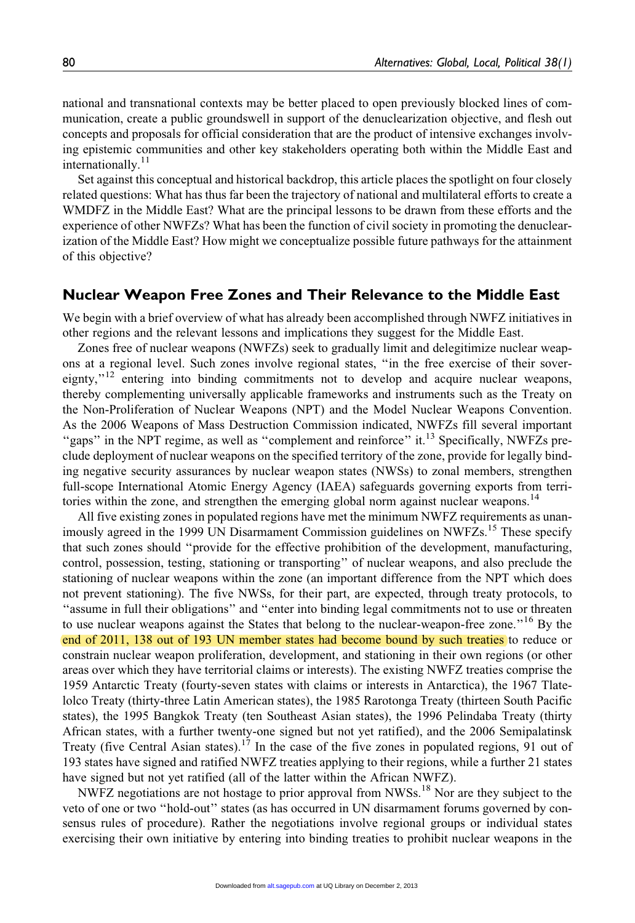national and transnational contexts may be better placed to open previously blocked lines of communication, create a public groundswell in support of the denuclearization objective, and flesh out concepts and proposals for official consideration that are the product of intensive exchanges involving epistemic communities and other key stakeholders operating both within the Middle East and internationally.<sup>11</sup>

Set against this conceptual and historical backdrop, this article places the spotlight on four closely related questions: What has thus far been the trajectory of national and multilateral efforts to create a WMDFZ in the Middle East? What are the principal lessons to be drawn from these efforts and the experience of other NWFZs? What has been the function of civil society in promoting the denuclearization of the Middle East? How might we conceptualize possible future pathways for the attainment of this objective?

#### Nuclear Weapon Free Zones and Their Relevance to the Middle East

We begin with a brief overview of what has already been accomplished through NWFZ initiatives in other regions and the relevant lessons and implications they suggest for the Middle East.

Zones free of nuclear weapons (NWFZs) seek to gradually limit and delegitimize nuclear weapons at a regional level. Such zones involve regional states, ''in the free exercise of their sovereignty, $\frac{1}{2}$  entering into binding commitments not to develop and acquire nuclear weapons, thereby complementing universally applicable frameworks and instruments such as the Treaty on the Non-Proliferation of Nuclear Weapons (NPT) and the Model Nuclear Weapons Convention. As the 2006 Weapons of Mass Destruction Commission indicated, NWFZs fill several important "gaps" in the NPT regime, as well as "complement and reinforce" it.<sup>13</sup> Specifically, NWFZs preclude deployment of nuclear weapons on the specified territory of the zone, provide for legally binding negative security assurances by nuclear weapon states (NWSs) to zonal members, strengthen full-scope International Atomic Energy Agency (IAEA) safeguards governing exports from territories within the zone, and strengthen the emerging global norm against nuclear weapons.<sup>14</sup>

All five existing zones in populated regions have met the minimum NWFZ requirements as unanimously agreed in the 1999 UN Disarmament Commission guidelines on NWFZs.<sup>15</sup> These specify that such zones should ''provide for the effective prohibition of the development, manufacturing, control, possession, testing, stationing or transporting'' of nuclear weapons, and also preclude the stationing of nuclear weapons within the zone (an important difference from the NPT which does not prevent stationing). The five NWSs, for their part, are expected, through treaty protocols, to ''assume in full their obligations'' and ''enter into binding legal commitments not to use or threaten to use nuclear weapons against the States that belong to the nuclear-weapon-free zone.''16 By the end of 2011, 138 out of 193 UN member states had become bound by such treaties to reduce or constrain nuclear weapon proliferation, development, and stationing in their own regions (or other areas over which they have territorial claims or interests). The existing NWFZ treaties comprise the 1959 Antarctic Treaty (fourty-seven states with claims or interests in Antarctica), the 1967 Tlatelolco Treaty (thirty-three Latin American states), the 1985 Rarotonga Treaty (thirteen South Pacific states), the 1995 Bangkok Treaty (ten Southeast Asian states), the 1996 Pelindaba Treaty (thirty African states, with a further twenty-one signed but not yet ratified), and the 2006 Semipalatinsk Treaty (five Central Asian states).<sup>17</sup> In the case of the five zones in populated regions, 91 out of 193 states have signed and ratified NWFZ treaties applying to their regions, while a further 21 states have signed but not yet ratified (all of the latter within the African NWFZ).

NWFZ negotiations are not hostage to prior approval from NWSs.<sup>18</sup> Nor are they subject to the veto of one or two ''hold-out'' states (as has occurred in UN disarmament forums governed by consensus rules of procedure). Rather the negotiations involve regional groups or individual states exercising their own initiative by entering into binding t[reaties to p](http://alt.sagepub.com/)rohibit nuclear weapons in the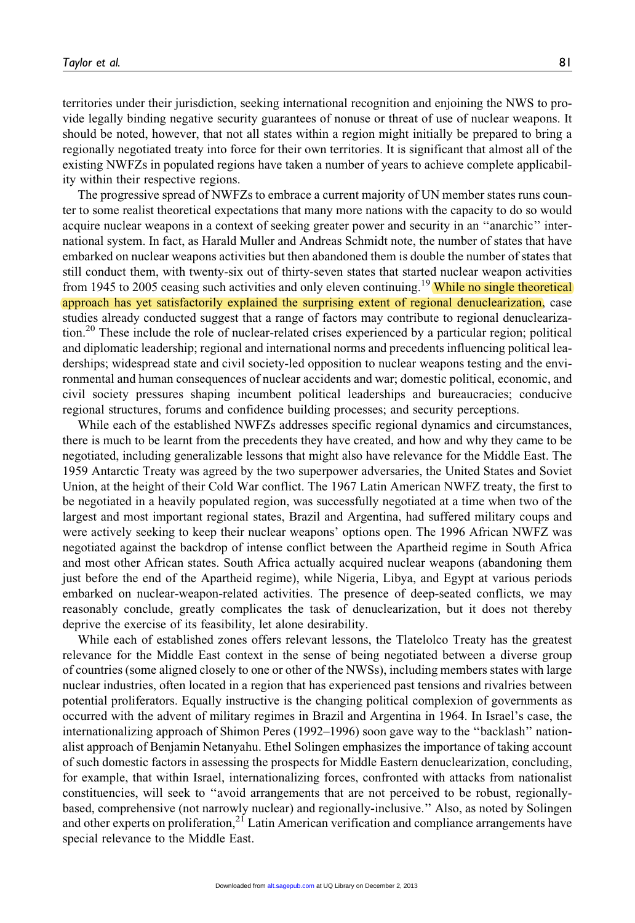territories under their jurisdiction, seeking international recognition and enjoining the NWS to provide legally binding negative security guarantees of nonuse or threat of use of nuclear weapons. It should be noted, however, that not all states within a region might initially be prepared to bring a regionally negotiated treaty into force for their own territories. It is significant that almost all of the existing NWFZs in populated regions have taken a number of years to achieve complete applicability within their respective regions.

The progressive spread of NWFZs to embrace a current majority of UN member states runs counter to some realist theoretical expectations that many more nations with the capacity to do so would acquire nuclear weapons in a context of seeking greater power and security in an ''anarchic'' international system. In fact, as Harald Muller and Andreas Schmidt note, the number of states that have embarked on nuclear weapons activities but then abandoned them is double the number of states that still conduct them, with twenty-six out of thirty-seven states that started nuclear weapon activities from 1945 to 2005 ceasing such activities and only eleven continuing.<sup>19</sup> While no single theoretical approach has yet satisfactorily explained the surprising extent of regional denuclearization, case studies already conducted suggest that a range of factors may contribute to regional denuclearization.20 These include the role of nuclear-related crises experienced by a particular region; political and diplomatic leadership; regional and international norms and precedents influencing political leaderships; widespread state and civil society-led opposition to nuclear weapons testing and the environmental and human consequences of nuclear accidents and war; domestic political, economic, and civil society pressures shaping incumbent political leaderships and bureaucracies; conducive regional structures, forums and confidence building processes; and security perceptions.

While each of the established NWFZs addresses specific regional dynamics and circumstances, there is much to be learnt from the precedents they have created, and how and why they came to be negotiated, including generalizable lessons that might also have relevance for the Middle East. The 1959 Antarctic Treaty was agreed by the two superpower adversaries, the United States and Soviet Union, at the height of their Cold War conflict. The 1967 Latin American NWFZ treaty, the first to be negotiated in a heavily populated region, was successfully negotiated at a time when two of the largest and most important regional states, Brazil and Argentina, had suffered military coups and were actively seeking to keep their nuclear weapons' options open. The 1996 African NWFZ was negotiated against the backdrop of intense conflict between the Apartheid regime in South Africa and most other African states. South Africa actually acquired nuclear weapons (abandoning them just before the end of the Apartheid regime), while Nigeria, Libya, and Egypt at various periods embarked on nuclear-weapon-related activities. The presence of deep-seated conflicts, we may reasonably conclude, greatly complicates the task of denuclearization, but it does not thereby deprive the exercise of its feasibility, let alone desirability.

While each of established zones offers relevant lessons, the Tlatelolco Treaty has the greatest relevance for the Middle East context in the sense of being negotiated between a diverse group of countries (some aligned closely to one or other of the NWSs), including members states with large nuclear industries, often located in a region that has experienced past tensions and rivalries between potential proliferators. Equally instructive is the changing political complexion of governments as occurred with the advent of military regimes in Brazil and Argentina in 1964. In Israel's case, the internationalizing approach of Shimon Peres (1992–1996) soon gave way to the ''backlash'' nationalist approach of Benjamin Netanyahu. Ethel Solingen emphasizes the importance of taking account of such domestic factors in assessing the prospects for Middle Eastern denuclearization, concluding, for example, that within Israel, internationalizing forces, confronted with attacks from nationalist constituencies, will seek to ''avoid arrangements that are not perceived to be robust, regionallybased, comprehensive (not narrowly nuclear) and regionally-inclusive.'' Also, as noted by Solingen and other experts on proliferation,<sup>21</sup> Latin American verification and compliance arrangements have special relevance to the Middle East.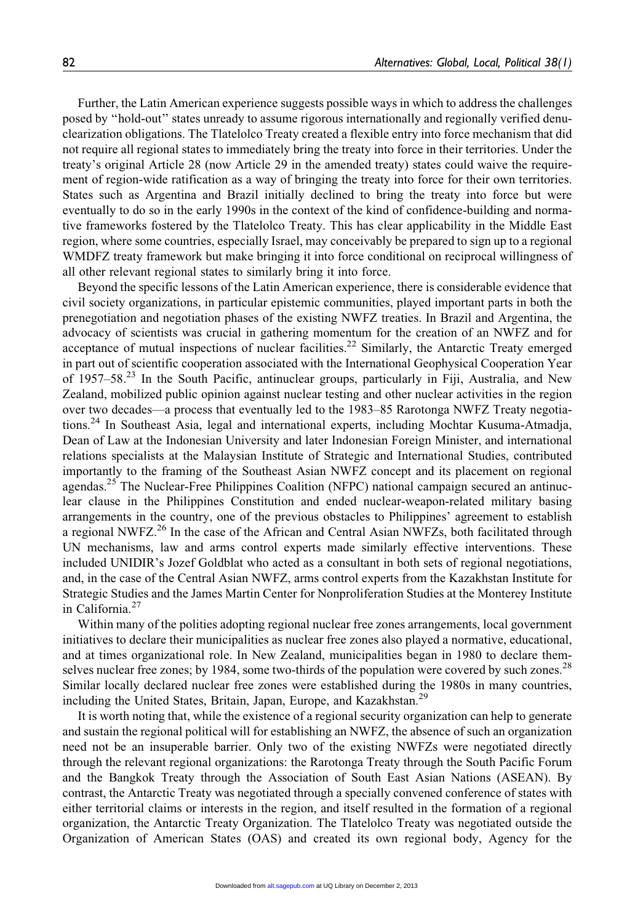Further, the Latin American experience suggests possible ways in which to address the challenges posed by ''hold-out'' states unready to assume rigorous internationally and regionally verified denuclearization obligations. The Tlatelolco Treaty created a flexible entry into force mechanism that did not require all regional states to immediately bring the treaty into force in their territories. Under the treaty's original Article 28 (now Article 29 in the amended treaty) states could waive the requirement of region-wide ratification as a way of bringing the treaty into force for their own territories. States such as Argentina and Brazil initially declined to bring the treaty into force but were eventually to do so in the early 1990s in the context of the kind of confidence-building and normative frameworks fostered by the Tlatelolco Treaty. This has clear applicability in the Middle East region, where some countries, especially Israel, may conceivably be prepared to sign up to a regional WMDFZ treaty framework but make bringing it into force conditional on reciprocal willingness of all other relevant regional states to similarly bring it into force.

Beyond the specific lessons of the Latin American experience, there is considerable evidence that civil society organizations, in particular epistemic communities, played important parts in both the prenegotiation and negotiation phases of the existing NWFZ treaties. In Brazil and Argentina, the advocacy of scientists was crucial in gathering momentum for the creation of an NWFZ and for acceptance of mutual inspections of nuclear facilities.<sup>22</sup> Similarly, the Antarctic Treaty emerged in part out of scientific cooperation associated with the International Geophysical Cooperation Year of 1957–58.<sup>23</sup> In the South Pacific, antinuclear groups, particularly in Fiji, Australia, and New Zealand, mobilized public opinion against nuclear testing and other nuclear activities in the region over two decades—a process that eventually led to the 1983–85 Rarotonga NWFZ Treaty negotiations.24 In Southeast Asia, legal and international experts, including Mochtar Kusuma-Atmadja, Dean of Law at the Indonesian University and later Indonesian Foreign Minister, and international relations specialists at the Malaysian Institute of Strategic and International Studies, contributed importantly to the framing of the Southeast Asian NWFZ concept and its placement on regional agendas.<sup>25</sup> The Nuclear-Free Philippines Coalition (NFPC) national campaign secured an antinuclear clause in the Philippines Constitution and ended nuclear-weapon-related military basing arrangements in the country, one of the previous obstacles to Philippines' agreement to establish a regional NWFZ.<sup>26</sup> In the case of the African and Central Asian NWFZs, both facilitated through UN mechanisms, law and arms control experts made similarly effective interventions. These included UNIDIR's Jozef Goldblat who acted as a consultant in both sets of regional negotiations, and, in the case of the Central Asian NWFZ, arms control experts from the Kazakhstan Institute for Strategic Studies and the James Martin Center for Nonproliferation Studies at the Monterey Institute in California.<sup>27</sup>

Within many of the polities adopting regional nuclear free zones arrangements, local government initiatives to declare their municipalities as nuclear free zones also played a normative, educational, and at times organizational role. In New Zealand, municipalities began in 1980 to declare themselves nuclear free zones; by 1984, some two-thirds of the population were covered by such zones.<sup>28</sup> Similar locally declared nuclear free zones were established during the 1980s in many countries, including the United States, Britain, Japan, Europe, and Kazakhstan.<sup>29</sup>

It is worth noting that, while the existence of a regional security organization can help to generate and sustain the regional political will for establishing an NWFZ, the absence of such an organization need not be an insuperable barrier. Only two of the existing NWFZs were negotiated directly through the relevant regional organizations: the Rarotonga Treaty through the South Pacific Forum and the Bangkok Treaty through the Association of South East Asian Nations (ASEAN). By contrast, the Antarctic Treaty was negotiated through a specially convened conference of states with either territorial claims or interests in the region, and itself resulted in the formation of a regional organization, the Antarctic Treaty Organization. The Tlatelolco Treaty was negotiated outside the Organization of American States (OAS) and created [its own re](http://alt.sagepub.com/)gional body, Agency for the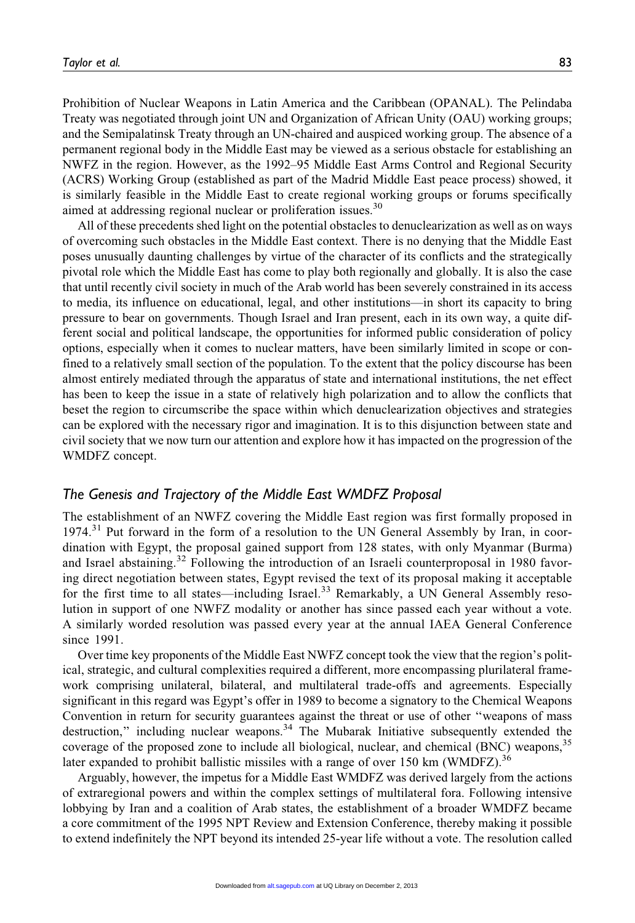Prohibition of Nuclear Weapons in Latin America and the Caribbean (OPANAL). The Pelindaba Treaty was negotiated through joint UN and Organization of African Unity (OAU) working groups; and the Semipalatinsk Treaty through an UN-chaired and auspiced working group. The absence of a permanent regional body in the Middle East may be viewed as a serious obstacle for establishing an NWFZ in the region. However, as the 1992–95 Middle East Arms Control and Regional Security (ACRS) Working Group (established as part of the Madrid Middle East peace process) showed, it is similarly feasible in the Middle East to create regional working groups or forums specifically aimed at addressing regional nuclear or proliferation issues.<sup>30</sup>

All of these precedents shed light on the potential obstacles to denuclearization as well as on ways of overcoming such obstacles in the Middle East context. There is no denying that the Middle East poses unusually daunting challenges by virtue of the character of its conflicts and the strategically pivotal role which the Middle East has come to play both regionally and globally. It is also the case that until recently civil society in much of the Arab world has been severely constrained in its access to media, its influence on educational, legal, and other institutions—in short its capacity to bring pressure to bear on governments. Though Israel and Iran present, each in its own way, a quite different social and political landscape, the opportunities for informed public consideration of policy options, especially when it comes to nuclear matters, have been similarly limited in scope or confined to a relatively small section of the population. To the extent that the policy discourse has been almost entirely mediated through the apparatus of state and international institutions, the net effect has been to keep the issue in a state of relatively high polarization and to allow the conflicts that beset the region to circumscribe the space within which denuclearization objectives and strategies can be explored with the necessary rigor and imagination. It is to this disjunction between state and civil society that we now turn our attention and explore how it has impacted on the progression of the WMDFZ concept.

## The Genesis and Trajectory of the Middle East WMDFZ Proposal

The establishment of an NWFZ covering the Middle East region was first formally proposed in 1974.<sup>31</sup> Put forward in the form of a resolution to the UN General Assembly by Iran, in coordination with Egypt, the proposal gained support from 128 states, with only Myanmar (Burma) and Israel abstaining.<sup>32</sup> Following the introduction of an Israeli counterproposal in 1980 favoring direct negotiation between states, Egypt revised the text of its proposal making it acceptable for the first time to all states—including Israel.<sup>33</sup> Remarkably, a UN General Assembly resolution in support of one NWFZ modality or another has since passed each year without a vote. A similarly worded resolution was passed every year at the annual IAEA General Conference since 1991.

Over time key proponents of the Middle East NWFZ concept took the view that the region's political, strategic, and cultural complexities required a different, more encompassing plurilateral framework comprising unilateral, bilateral, and multilateral trade-offs and agreements. Especially significant in this regard was Egypt's offer in 1989 to become a signatory to the Chemical Weapons Convention in return for security guarantees against the threat or use of other ''weapons of mass destruction," including nuclear weapons.<sup>34</sup> The Mubarak Initiative subsequently extended the coverage of the proposed zone to include all biological, nuclear, and chemical (BNC) weapons,<sup>35</sup> later expanded to prohibit ballistic missiles with a range of over 150 km (WMDFZ).<sup>36</sup>

Arguably, however, the impetus for a Middle East WMDFZ was derived largely from the actions of extraregional powers and within the complex settings of multilateral fora. Following intensive lobbying by Iran and a coalition of Arab states, the establishment of a broader WMDFZ became a core commitment of the 1995 NPT Review and Extension Conference, thereby making it possible to extend indefinitely the NPT beyond its intended 25-ye[ar life witho](http://alt.sagepub.com/)ut a vote. The resolution called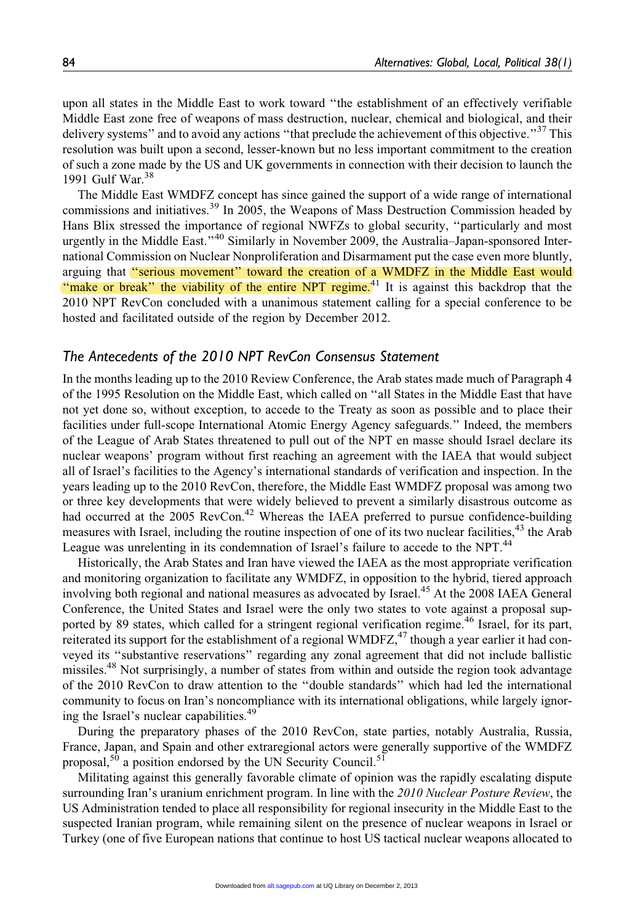upon all states in the Middle East to work toward ''the establishment of an effectively verifiable Middle East zone free of weapons of mass destruction, nuclear, chemical and biological, and their delivery systems" and to avoid any actions "that preclude the achievement of this objective."<sup>37</sup> This resolution was built upon a second, lesser-known but no less important commitment to the creation of such a zone made by the US and UK governments in connection with their decision to launch the 1991 Gulf War.<sup>38</sup>

The Middle East WMDFZ concept has since gained the support of a wide range of international commissions and initiatives.<sup>39</sup> In 2005, the Weapons of Mass Destruction Commission headed by Hans Blix stressed the importance of regional NWFZs to global security, ''particularly and most urgently in the Middle East."<sup>40</sup> Similarly in November 2009, the Australia–Japan-sponsored International Commission on Nuclear Nonproliferation and Disarmament put the case even more bluntly, arguing that ''serious movement'' toward the creation of a WMDFZ in the Middle East would "make or break" the viability of the entire NPT regime.<sup>41</sup> It is against this backdrop that the 2010 NPT RevCon concluded with a unanimous statement calling for a special conference to be hosted and facilitated outside of the region by December 2012.

## The Antecedents of the 2010 NPT RevCon Consensus Statement

In the months leading up to the 2010 Review Conference, the Arab states made much of Paragraph 4 of the 1995 Resolution on the Middle East, which called on ''all States in the Middle East that have not yet done so, without exception, to accede to the Treaty as soon as possible and to place their facilities under full-scope International Atomic Energy Agency safeguards.'' Indeed, the members of the League of Arab States threatened to pull out of the NPT en masse should Israel declare its nuclear weapons' program without first reaching an agreement with the IAEA that would subject all of Israel's facilities to the Agency's international standards of verification and inspection. In the years leading up to the 2010 RevCon, therefore, the Middle East WMDFZ proposal was among two or three key developments that were widely believed to prevent a similarly disastrous outcome as had occurred at the 2005 RevCon.<sup>42</sup> Whereas the IAEA preferred to pursue confidence-building measures with Israel, including the routine inspection of one of its two nuclear facilities,<sup>43</sup> the Arab League was unrelenting in its condemnation of Israel's failure to accede to the NPT.<sup>44</sup>

Historically, the Arab States and Iran have viewed the IAEA as the most appropriate verification and monitoring organization to facilitate any WMDFZ, in opposition to the hybrid, tiered approach involving both regional and national measures as advocated by Israel.<sup>45</sup> At the 2008 IAEA General Conference, the United States and Israel were the only two states to vote against a proposal supported by 89 states, which called for a stringent regional verification regime.<sup>46</sup> Israel, for its part, reiterated its support for the establishment of a regional WMDFZ,<sup>47</sup> though a year earlier it had conveyed its ''substantive reservations'' regarding any zonal agreement that did not include ballistic missiles.<sup>48</sup> Not surprisingly, a number of states from within and outside the region took advantage of the 2010 RevCon to draw attention to the ''double standards'' which had led the international community to focus on Iran's noncompliance with its international obligations, while largely ignoring the Israel's nuclear capabilities.<sup>49</sup>

During the preparatory phases of the 2010 RevCon, state parties, notably Australia, Russia, France, Japan, and Spain and other extraregional actors were generally supportive of the WMDFZ proposal,<sup>50</sup> a position endorsed by the UN Security Council.<sup>51</sup>

Militating against this generally favorable climate of opinion was the rapidly escalating dispute surrounding Iran's uranium enrichment program. In line with the 2010 Nuclear Posture Review, the US Administration tended to place all responsibility for regional insecurity in the Middle East to the suspected Iranian program, while remaining silent on the presence of nuclear weapons in Israel or Turkey (one of five European nations that continue to ho[st US tactic](http://alt.sagepub.com/)al nuclear weapons allocated to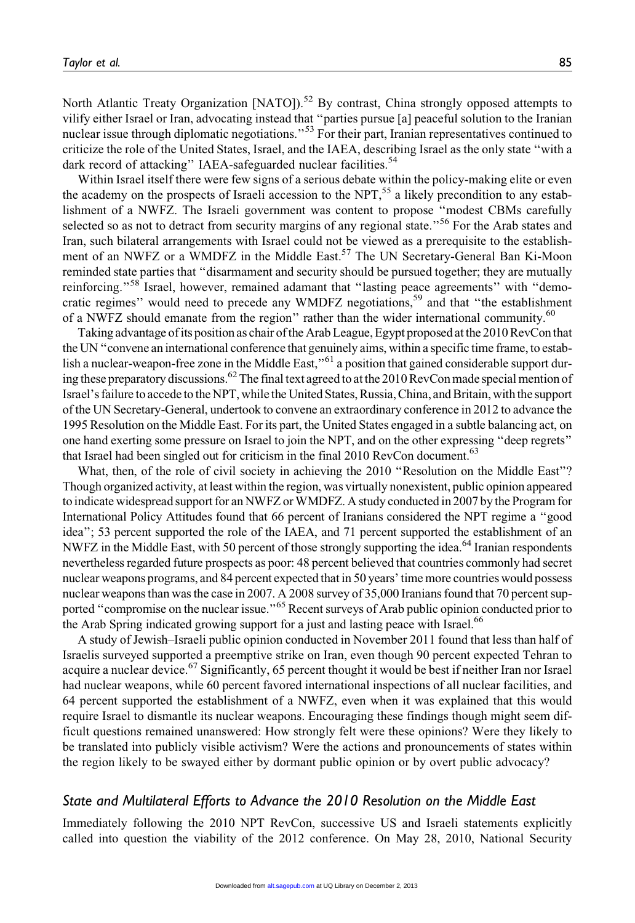North Atlantic Treaty Organization [NATO]).<sup>52</sup> By contrast, China strongly opposed attempts to vilify either Israel or Iran, advocating instead that ''parties pursue [a] peaceful solution to the Iranian nuclear issue through diplomatic negotiations."<sup>53</sup> For their part, Iranian representatives continued to criticize the role of the United States, Israel, and the IAEA, describing Israel as the only state ''with a dark record of attacking" IAEA-safeguarded nuclear facilities.<sup>54</sup>

Within Israel itself there were few signs of a serious debate within the policy-making elite or even the academy on the prospects of Israeli accession to the NPT,<sup>55</sup> a likely precondition to any establishment of a NWFZ. The Israeli government was content to propose ''modest CBMs carefully selected so as not to detract from security margins of any regional state.<sup>556</sup> For the Arab states and Iran, such bilateral arrangements with Israel could not be viewed as a prerequisite to the establishment of an NWFZ or a WMDFZ in the Middle East.<sup>57</sup> The UN Secretary-General Ban Ki-Moon reminded state parties that ''disarmament and security should be pursued together; they are mutually reinforcing."<sup>58</sup> Israel, however, remained adamant that "lasting peace agreements" with "democratic regimes'' would need to precede any WMDFZ negotiations,  $59$  and that "the establishment" of a NWFZ should emanate from the region" rather than the wider international community.<sup>60</sup>

Taking advantage ofits position as chair ofthe Arab League, Egypt proposed atthe 2010 RevCon that the UN ''convene an international conference that genuinely aims, within a specific time frame, to establish a nuclear-weapon-free zone in the Middle East,"<sup>61</sup> a position that gained considerable support during these preparatory discussions.<sup>62</sup> The final text agreed to at the 2010 RevCon made special mention of Israel's failure to accede to the NPT, while the United States, Russia, China, and Britain, with the support of the UN Secretary-General, undertook to convene an extraordinary conference in 2012 to advance the 1995 Resolution on the Middle East. For its part, the United States engaged in a subtle balancing act, on one hand exerting some pressure on Israel to join the NPT, and on the other expressing ''deep regrets'' that Israel had been singled out for criticism in the final 2010 RevCon document.<sup>63</sup>

What, then, of the role of civil society in achieving the 2010 "Resolution on the Middle East"? Though organized activity, at least within the region, was virtually nonexistent, public opinion appeared to indicate widespread support for an NWFZ orWMDFZ. A study conducted in 2007 by the Program for International Policy Attitudes found that 66 percent of Iranians considered the NPT regime a ''good idea''; 53 percent supported the role of the IAEA, and 71 percent supported the establishment of an NWFZ in the Middle East, with 50 percent of those strongly supporting the idea.<sup>64</sup> Iranian respondents nevertheless regarded future prospects as poor: 48 percent believed that countries commonly had secret nuclear weapons programs, and 84 percent expected that in 50 years' time more countries would possess nuclear weapons than was the case in 2007. A 2008 survey of 35,000 Iranians found that 70 percent supported "compromise on the nuclear issue."<sup>65</sup> Recent surveys of Arab public opinion conducted prior to the Arab Spring indicated growing support for a just and lasting peace with Israel.<sup>66</sup>

A study of Jewish–Israeli public opinion conducted in November 2011 found that less than half of Israelis surveyed supported a preemptive strike on Iran, even though 90 percent expected Tehran to acquire a nuclear device.<sup>67</sup> Significantly, 65 percent thought it would be best if neither Iran nor Israel had nuclear weapons, while 60 percent favored international inspections of all nuclear facilities, and 64 percent supported the establishment of a NWFZ, even when it was explained that this would require Israel to dismantle its nuclear weapons. Encouraging these findings though might seem difficult questions remained unanswered: How strongly felt were these opinions? Were they likely to be translated into publicly visible activism? Were the actions and pronouncements of states within the region likely to be swayed either by dormant public opinion or by overt public advocacy?

#### State and Multilateral Efforts to Advance the 2010 Resolution on the Middle East

Immediately following the 2010 NPT RevCon, successive US and Israeli statements explicitly called into question the viability of the 2012 conferen[ce. On Ma](http://alt.sagepub.com/)y 28, 2010, National Security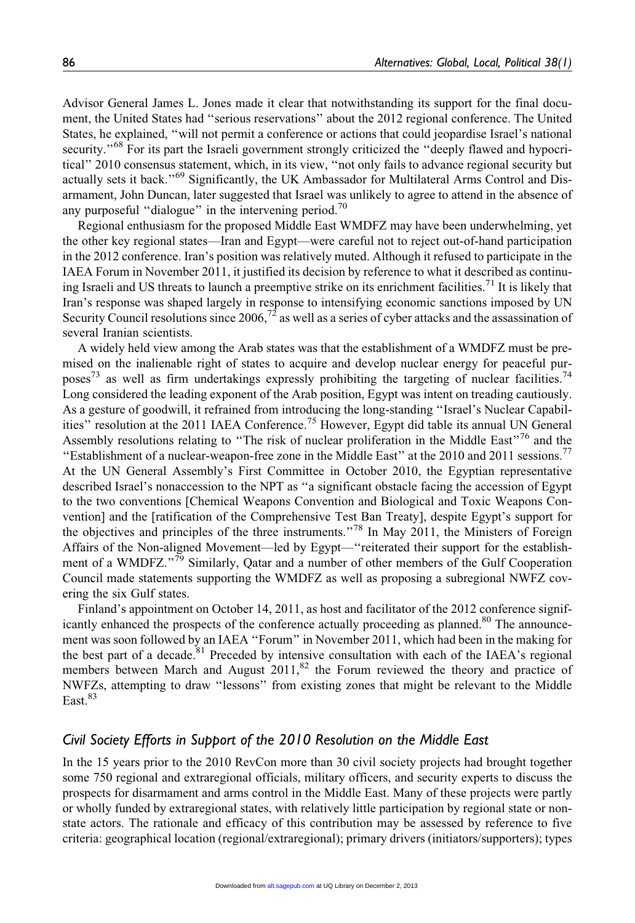Advisor General James L. Jones made it clear that notwithstanding its support for the final document, the United States had ''serious reservations'' about the 2012 regional conference. The United States, he explained, ''will not permit a conference or actions that could jeopardise Israel's national security."<sup>68</sup> For its part the Israeli government strongly criticized the "deeply flawed and hypocritical'' 2010 consensus statement, which, in its view, ''not only fails to advance regional security but actually sets it back."<sup>69</sup> Significantly, the UK Ambassador for Multilateral Arms Control and Disarmament, John Duncan, later suggested that Israel was unlikely to agree to attend in the absence of any purposeful "dialogue" in the intervening period.<sup>70</sup>

Regional enthusiasm for the proposed Middle East WMDFZ may have been underwhelming, yet the other key regional states—Iran and Egypt—were careful not to reject out-of-hand participation in the 2012 conference. Iran's position was relatively muted. Although it refused to participate in the IAEA Forum in November 2011, it justified its decision by reference to what it described as continuing Israeli and US threats to launch a preemptive strike on its enrichment facilities.<sup>71</sup> It is likely that Iran's response was shaped largely in response to intensifying economic sanctions imposed by UN Security Council resolutions since 2006,<sup>72</sup> as well as a series of cyber attacks and the assassination of several Iranian scientists.

A widely held view among the Arab states was that the establishment of a WMDFZ must be premised on the inalienable right of states to acquire and develop nuclear energy for peaceful purposes<sup>73</sup> as well as firm undertakings expressly prohibiting the targeting of nuclear facilities.<sup>74</sup> Long considered the leading exponent of the Arab position, Egypt was intent on treading cautiously. As a gesture of goodwill, it refrained from introducing the long-standing ''Israel's Nuclear Capabilities" resolution at the 2011 IAEA Conference.<sup>75</sup> However, Egypt did table its annual UN General Assembly resolutions relating to "The risk of nuclear proliferation in the Middle East"<sup>76</sup> and the "Establishment of a nuclear-weapon-free zone in the Middle East" at the 2010 and 2011 sessions.<sup>77</sup> At the UN General Assembly's First Committee in October 2010, the Egyptian representative described Israel's nonaccession to the NPT as ''a significant obstacle facing the accession of Egypt to the two conventions [Chemical Weapons Convention and Biological and Toxic Weapons Convention] and the [ratification of the Comprehensive Test Ban Treaty], despite Egypt's support for the objectives and principles of the three instruments. $178$  In May 2011, the Ministers of Foreign Affairs of the Non-aligned Movement—led by Egypt—''reiterated their support for the establishment of a WMDFZ."<sup>79</sup> Similarly, Qatar and a number of other members of the Gulf Cooperation Council made statements supporting the WMDFZ as well as proposing a subregional NWFZ covering the six Gulf states.

Finland's appointment on October 14, 2011, as host and facilitator of the 2012 conference significantly enhanced the prospects of the conference actually proceeding as planned.<sup>80</sup> The announcement was soon followed by an IAEA ''Forum'' in November 2011, which had been in the making for the best part of a decade. $81$  Preceded by intensive consultation with each of the IAEA's regional members between March and August  $2011$ ,  $82$  the Forum reviewed the theory and practice of NWFZs, attempting to draw ''lessons'' from existing zones that might be relevant to the Middle East.<sup>83</sup>

#### Civil Society Efforts in Support of the 2010 Resolution on the Middle East

In the 15 years prior to the 2010 RevCon more than 30 civil society projects had brought together some 750 regional and extraregional officials, military officers, and security experts to discuss the prospects for disarmament and arms control in the Middle East. Many of these projects were partly or wholly funded by extraregional states, with relatively little participation by regional state or nonstate actors. The rationale and efficacy of this contribution may be assessed by reference to five criteria: geographical location (regional/extraregional); pr[imary driv](http://alt.sagepub.com/)ers (initiators/supporters); types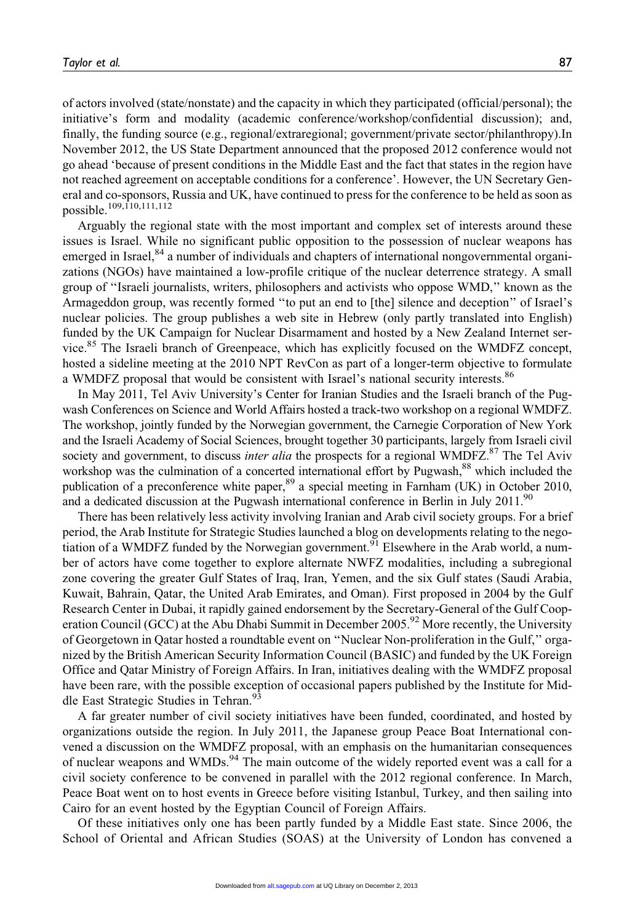of actors involved (state/nonstate) and the capacity in which they participated (official/personal); the initiative's form and modality (academic conference/workshop/confidential discussion); and, finally, the funding source (e.g., regional/extraregional; government/private sector/philanthropy).In November 2012, the US State Department announced that the proposed 2012 conference would not go ahead 'because of present conditions in the Middle East and the fact that states in the region have not reached agreement on acceptable conditions for a conference'. However, the UN Secretary General and co-sponsors, Russia and UK, have continued to press for the conference to be held as soon as possible.<sup>109,110,111,112</sup>

Arguably the regional state with the most important and complex set of interests around these issues is Israel. While no significant public opposition to the possession of nuclear weapons has emerged in Israel,<sup>84</sup> a number of individuals and chapters of international nongovernmental organizations (NGOs) have maintained a low-profile critique of the nuclear deterrence strategy. A small group of ''Israeli journalists, writers, philosophers and activists who oppose WMD,'' known as the Armageddon group, was recently formed ''to put an end to [the] silence and deception'' of Israel's nuclear policies. The group publishes a web site in Hebrew (only partly translated into English) funded by the UK Campaign for Nuclear Disarmament and hosted by a New Zealand Internet service.85 The Israeli branch of Greenpeace, which has explicitly focused on the WMDFZ concept, hosted a sideline meeting at the 2010 NPT RevCon as part of a longer-term objective to formulate a WMDFZ proposal that would be consistent with Israel's national security interests.<sup>86</sup>

In May 2011, Tel Aviv University's Center for Iranian Studies and the Israeli branch of the Pugwash Conferences on Science and World Affairs hosted a track-two workshop on a regional WMDFZ. The workshop, jointly funded by the Norwegian government, the Carnegie Corporation of New York and the Israeli Academy of Social Sciences, brought together 30 participants, largely from Israeli civil society and government, to discuss *inter alia* the prospects for a regional WMDFZ.<sup>87</sup> The Tel Aviv workshop was the culmination of a concerted international effort by Pugwash,<sup>88</sup> which included the publication of a preconference white paper,<sup>89</sup> a special meeting in Farnham (UK) in October 2010, and a dedicated discussion at the Pugwash international conference in Berlin in July 2011.<sup>90</sup>

There has been relatively less activity involving Iranian and Arab civil society groups. For a brief period, the Arab Institute for Strategic Studies launched a blog on developments relating to the negotiation of a WMDFZ funded by the Norwegian government.<sup>91</sup> Elsewhere in the Arab world, a number of actors have come together to explore alternate NWFZ modalities, including a subregional zone covering the greater Gulf States of Iraq, Iran, Yemen, and the six Gulf states (Saudi Arabia, Kuwait, Bahrain, Qatar, the United Arab Emirates, and Oman). First proposed in 2004 by the Gulf Research Center in Dubai, it rapidly gained endorsement by the Secretary-General of the Gulf Cooperation Council (GCC) at the Abu Dhabi Summit in December 2005.<sup>92</sup> More recently, the University of Georgetown in Qatar hosted a roundtable event on ''Nuclear Non-proliferation in the Gulf,'' organized by the British American Security Information Council (BASIC) and funded by the UK Foreign Office and Qatar Ministry of Foreign Affairs. In Iran, initiatives dealing with the WMDFZ proposal have been rare, with the possible exception of occasional papers published by the Institute for Middle East Strategic Studies in Tehran.<sup>93</sup>

A far greater number of civil society initiatives have been funded, coordinated, and hosted by organizations outside the region. In July 2011, the Japanese group Peace Boat International convened a discussion on the WMDFZ proposal, with an emphasis on the humanitarian consequences of nuclear weapons and WMDs.<sup>94</sup> The main outcome of the widely reported event was a call for a civil society conference to be convened in parallel with the 2012 regional conference. In March, Peace Boat went on to host events in Greece before visiting Istanbul, Turkey, and then sailing into Cairo for an event hosted by the Egyptian Council of Foreign Affairs.

Of these initiatives only one has been partly funded by a Middle East state. Since 2006, the School of Oriental and African Studies (SOAS) at th[e Universi](http://alt.sagepub.com/)ty of London has convened a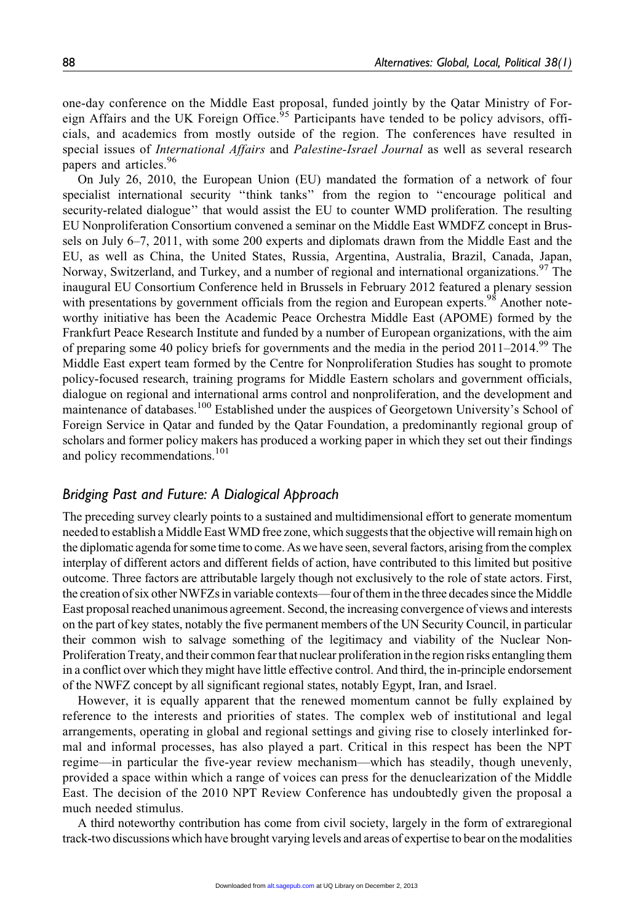one-day conference on the Middle East proposal, funded jointly by the Qatar Ministry of Foreign Affairs and the UK Foreign Office.<sup>95</sup> Participants have tended to be policy advisors, officials, and academics from mostly outside of the region. The conferences have resulted in special issues of *International Affairs* and *Palestine-Israel Journal* as well as several research papers and articles.<sup>96</sup>

On July 26, 2010, the European Union (EU) mandated the formation of a network of four specialist international security ''think tanks'' from the region to ''encourage political and security-related dialogue'' that would assist the EU to counter WMD proliferation. The resulting EU Nonproliferation Consortium convened a seminar on the Middle East WMDFZ concept in Brussels on July 6–7, 2011, with some 200 experts and diplomats drawn from the Middle East and the EU, as well as China, the United States, Russia, Argentina, Australia, Brazil, Canada, Japan, Norway, Switzerland, and Turkey, and a number of regional and international organizations.<sup>97</sup> The inaugural EU Consortium Conference held in Brussels in February 2012 featured a plenary session with presentations by government officials from the region and European experts.<sup>98</sup> Another noteworthy initiative has been the Academic Peace Orchestra Middle East (APOME) formed by the Frankfurt Peace Research Institute and funded by a number of European organizations, with the aim of preparing some 40 policy briefs for governments and the media in the period  $2011-2014$ .<sup>99</sup> The Middle East expert team formed by the Centre for Nonproliferation Studies has sought to promote policy-focused research, training programs for Middle Eastern scholars and government officials, dialogue on regional and international arms control and nonproliferation, and the development and maintenance of databases.<sup>100</sup> Established under the auspices of Georgetown University's School of Foreign Service in Qatar and funded by the Qatar Foundation, a predominantly regional group of scholars and former policy makers has produced a working paper in which they set out their findings and policy recommendations.<sup>101</sup>

#### Bridging Past and Future: A Dialogical Approach

The preceding survey clearly points to a sustained and multidimensional effort to generate momentum needed to establish a Middle EastWMD free zone, which suggests that the objective will remain high on the diplomatic agenda for some time to come. As we have seen, several factors, arising from the complex interplay of different actors and different fields of action, have contributed to this limited but positive outcome. Three factors are attributable largely though not exclusively to the role of state actors. First, the creation of six other NWFZs in variable contexts—four of them in the three decades since the Middle East proposal reached unanimous agreement. Second, the increasing convergence of views and interests on the part of key states, notably the five permanent members of the UN Security Council, in particular their common wish to salvage something of the legitimacy and viability of the Nuclear Non-Proliferation Treaty, and their common fear that nuclear proliferation in the region risks entangling them in a conflict over which they might have little effective control. And third, the in-principle endorsement of the NWFZ concept by all significant regional states, notably Egypt, Iran, and Israel.

However, it is equally apparent that the renewed momentum cannot be fully explained by reference to the interests and priorities of states. The complex web of institutional and legal arrangements, operating in global and regional settings and giving rise to closely interlinked formal and informal processes, has also played a part. Critical in this respect has been the NPT regime—in particular the five-year review mechanism—which has steadily, though unevenly, provided a space within which a range of voices can press for the denuclearization of the Middle East. The decision of the 2010 NPT Review Conference has undoubtedly given the proposal a much needed stimulus.

A third noteworthy contribution has come from civil society, largely in the form of extraregional track-two discussions which have brought varying levels an[d areas of e](http://alt.sagepub.com/)xpertise to bear on the modalities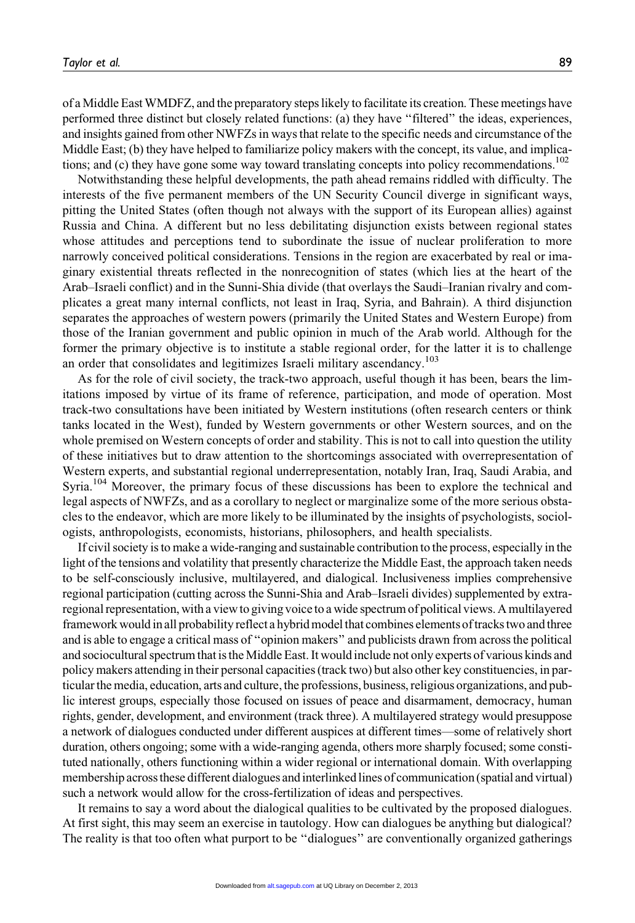of a Middle EastWMDFZ, and the preparatory steps likely to facilitate its creation. These meetings have performed three distinct but closely related functions: (a) they have ''filtered'' the ideas, experiences, and insights gained from other NWFZs in ways that relate to the specific needs and circumstance of the

Middle East; (b) they have helped to familiarize policy makers with the concept, its value, and implications; and (c) they have gone some way toward translating concepts into policy recommendations.<sup>102</sup> Notwithstanding these helpful developments, the path ahead remains riddled with difficulty. The interests of the five permanent members of the UN Security Council diverge in significant ways,

pitting the United States (often though not always with the support of its European allies) against Russia and China. A different but no less debilitating disjunction exists between regional states whose attitudes and perceptions tend to subordinate the issue of nuclear proliferation to more narrowly conceived political considerations. Tensions in the region are exacerbated by real or imaginary existential threats reflected in the nonrecognition of states (which lies at the heart of the Arab–Israeli conflict) and in the Sunni-Shia divide (that overlays the Saudi–Iranian rivalry and complicates a great many internal conflicts, not least in Iraq, Syria, and Bahrain). A third disjunction separates the approaches of western powers (primarily the United States and Western Europe) from those of the Iranian government and public opinion in much of the Arab world. Although for the former the primary objective is to institute a stable regional order, for the latter it is to challenge an order that consolidates and legitimizes Israeli military ascendancy.<sup>103</sup>

As for the role of civil society, the track-two approach, useful though it has been, bears the limitations imposed by virtue of its frame of reference, participation, and mode of operation. Most track-two consultations have been initiated by Western institutions (often research centers or think tanks located in the West), funded by Western governments or other Western sources, and on the whole premised on Western concepts of order and stability. This is not to call into question the utility of these initiatives but to draw attention to the shortcomings associated with overrepresentation of Western experts, and substantial regional underrepresentation, notably Iran, Iraq, Saudi Arabia, and Syria.<sup>104</sup> Moreover, the primary focus of these discussions has been to explore the technical and legal aspects of NWFZs, and as a corollary to neglect or marginalize some of the more serious obstacles to the endeavor, which are more likely to be illuminated by the insights of psychologists, sociologists, anthropologists, economists, historians, philosophers, and health specialists.

If civil society is to make a wide-ranging and sustainable contribution to the process, especially in the light of the tensions and volatility that presently characterize the Middle East, the approach taken needs to be self-consciously inclusive, multilayered, and dialogical. Inclusiveness implies comprehensive regional participation (cutting across the Sunni-Shia and Arab–Israeli divides) supplemented by extraregional representation, with a viewto giving voiceto a wide spectrum of political views. A multilayered framework would in all probability reflect a hybrid modelthat combines elements oftracks two andthree and is able to engage a critical mass of ''opinion makers'' and publicists drawn from across the political and sociocultural spectrum that is the Middle East. It would include not only experts of various kinds and policy makers attending in their personal capacities (track two) but also other key constituencies, in particular the media, education, arts and culture, the professions, business, religious organizations, and public interest groups, especially those focused on issues of peace and disarmament, democracy, human rights, gender, development, and environment (track three). A multilayered strategy would presuppose a network of dialogues conducted under different auspices at different times—some of relatively short duration, others ongoing; some with a wide-ranging agenda, others more sharply focused; some constituted nationally, others functioning within a wider regional or international domain. With overlapping membership acrossthese different dialogues and interlinked lines of communication (spatial and virtual) such a network would allow for the cross-fertilization of ideas and perspectives.

It remains to say a word about the dialogical qualities to be cultivated by the proposed dialogues. At first sight, this may seem an exercise in tautology. How can dialogues be anything but dialogical? The reality is that too often what purport to be ''dialogues['' are conv](http://alt.sagepub.com/)entionally organized gatherings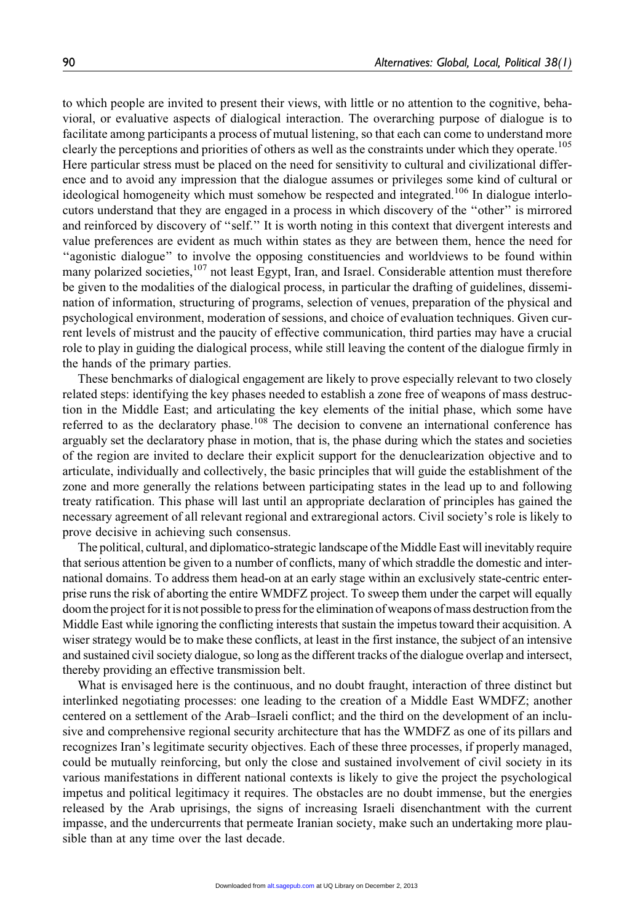to which people are invited to present their views, with little or no attention to the cognitive, behavioral, or evaluative aspects of dialogical interaction. The overarching purpose of dialogue is to facilitate among participants a process of mutual listening, so that each can come to understand more clearly the perceptions and priorities of others as well as the constraints under which they operate.<sup>105</sup> Here particular stress must be placed on the need for sensitivity to cultural and civilizational difference and to avoid any impression that the dialogue assumes or privileges some kind of cultural or ideological homogeneity which must somehow be respected and integrated.<sup>106</sup> In dialogue interlocutors understand that they are engaged in a process in which discovery of the ''other'' is mirrored and reinforced by discovery of ''self.'' It is worth noting in this context that divergent interests and value preferences are evident as much within states as they are between them, hence the need for ''agonistic dialogue'' to involve the opposing constituencies and worldviews to be found within many polarized societies,<sup>107</sup> not least Egypt, Iran, and Israel. Considerable attention must therefore be given to the modalities of the dialogical process, in particular the drafting of guidelines, dissemination of information, structuring of programs, selection of venues, preparation of the physical and psychological environment, moderation of sessions, and choice of evaluation techniques. Given current levels of mistrust and the paucity of effective communication, third parties may have a crucial role to play in guiding the dialogical process, while still leaving the content of the dialogue firmly in the hands of the primary parties.

These benchmarks of dialogical engagement are likely to prove especially relevant to two closely related steps: identifying the key phases needed to establish a zone free of weapons of mass destruction in the Middle East; and articulating the key elements of the initial phase, which some have referred to as the declaratory phase.<sup>108</sup> The decision to convene an international conference has arguably set the declaratory phase in motion, that is, the phase during which the states and societies of the region are invited to declare their explicit support for the denuclearization objective and to articulate, individually and collectively, the basic principles that will guide the establishment of the zone and more generally the relations between participating states in the lead up to and following treaty ratification. This phase will last until an appropriate declaration of principles has gained the necessary agreement of all relevant regional and extraregional actors. Civil society's role is likely to prove decisive in achieving such consensus.

The political, cultural, and diplomatico-strategic landscape of the Middle East will inevitably require that serious attention be given to a number of conflicts, many of which straddle the domestic and international domains. To address them head-on at an early stage within an exclusively state-centric enterprise runs the risk of aborting the entire WMDFZ project. To sweep them under the carpet will equally doomthe project for itis not possible to press for the elimination of weapons of mass destruction fromthe Middle East while ignoring the conflicting interests that sustain the impetus toward their acquisition. A wiser strategy would be to make these conflicts, at least in the first instance, the subject of an intensive and sustained civil society dialogue, so long as the different tracks of the dialogue overlap and intersect, thereby providing an effective transmission belt.

What is envisaged here is the continuous, and no doubt fraught, interaction of three distinct but interlinked negotiating processes: one leading to the creation of a Middle East WMDFZ; another centered on a settlement of the Arab–Israeli conflict; and the third on the development of an inclusive and comprehensive regional security architecture that has the WMDFZ as one of its pillars and recognizes Iran's legitimate security objectives. Each of these three processes, if properly managed, could be mutually reinforcing, but only the close and sustained involvement of civil society in its various manifestations in different national contexts is likely to give the project the psychological impetus and political legitimacy it requires. The obstacles are no doubt immense, but the energies released by the Arab uprisings, the signs of increasing Israeli disenchantment with the current impasse, and the undercurrents that permeate Iranian society, make such an undertaking more plausible than at any time over the last decade.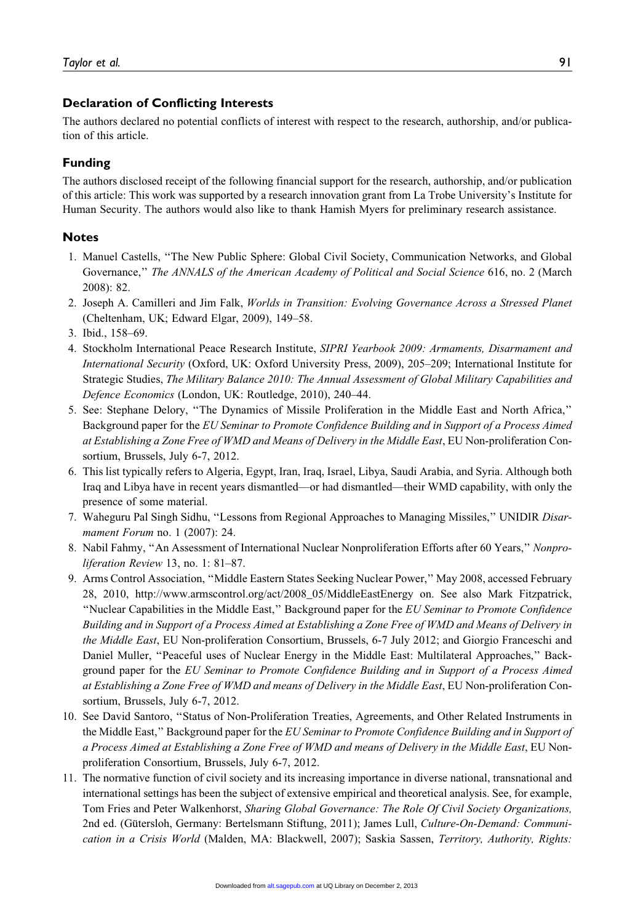#### Declaration of Conflicting Interests

The authors declared no potential conflicts of interest with respect to the research, authorship, and/or publication of this article.

# Funding

The authors disclosed receipt of the following financial support for the research, authorship, and/or publication of this article: This work was supported by a research innovation grant from La Trobe University's Institute for Human Security. The authors would also like to thank Hamish Myers for preliminary research assistance.

#### **Notes**

- 1. Manuel Castells, ''The New Public Sphere: Global Civil Society, Communication Networks, and Global Governance,'' The ANNALS of the American Academy of Political and Social Science 616, no. 2 (March 2008): 82.
- 2. Joseph A. Camilleri and Jim Falk, Worlds in Transition: Evolving Governance Across a Stressed Planet (Cheltenham, UK; Edward Elgar, 2009), 149–58.
- 3. Ibid., 158–69.
- 4. Stockholm International Peace Research Institute, SIPRI Yearbook 2009: Armaments, Disarmament and International Security (Oxford, UK: Oxford University Press, 2009), 205–209; International Institute for Strategic Studies, The Military Balance 2010: The Annual Assessment of Global Military Capabilities and Defence Economics (London, UK: Routledge, 2010), 240–44.
- 5. See: Stephane Delory, ''The Dynamics of Missile Proliferation in the Middle East and North Africa,'' Background paper for the EU Seminar to Promote Confidence Building and in Support of a Process Aimed at Establishing a Zone Free of WMD and Means of Delivery in the Middle East, EU Non-proliferation Consortium, Brussels, July 6-7, 2012.
- 6. This list typically refers to Algeria, Egypt, Iran, Iraq, Israel, Libya, Saudi Arabia, and Syria. Although both Iraq and Libya have in recent years dismantled—or had dismantled—their WMD capability, with only the presence of some material.
- 7. Waheguru Pal Singh Sidhu, ''Lessons from Regional Approaches to Managing Missiles,'' UNIDIR Disarmament Forum no. 1 (2007): 24.
- 8. Nabil Fahmy, ''An Assessment of International Nuclear Nonproliferation Efforts after 60 Years,'' Nonproliferation Review 13, no. 1: 81–87.
- 9. Arms Control Association, ''Middle Eastern States Seeking Nuclear Power,'' May 2008, accessed February 28, 2010, http://www.armscontrol.org/act/2008\_05/MiddleEastEnergy on. See also Mark Fitzpatrick, ''Nuclear Capabilities in the Middle East,'' Background paper for the EU Seminar to Promote Confidence Building and in Support of a Process Aimed at Establishing a Zone Free of WMD and Means of Delivery in the Middle East, EU Non-proliferation Consortium, Brussels, 6-7 July 2012; and Giorgio Franceschi and Daniel Muller, ''Peaceful uses of Nuclear Energy in the Middle East: Multilateral Approaches,'' Background paper for the EU Seminar to Promote Confidence Building and in Support of a Process Aimed at Establishing a Zone Free of WMD and means of Delivery in the Middle East, EU Non-proliferation Consortium, Brussels, July 6-7, 2012.
- 10. See David Santoro, ''Status of Non-Proliferation Treaties, Agreements, and Other Related Instruments in the Middle East," Background paper for the EU Seminar to Promote Confidence Building and in Support of a Process Aimed at Establishing a Zone Free of WMD and means of Delivery in the Middle East, EU Nonproliferation Consortium, Brussels, July 6-7, 2012.
- 11. The normative function of civil society and its increasing importance in diverse national, transnational and international settings has been the subject of extensive empirical and theoretical analysis. See, for example, Tom Fries and Peter Walkenhorst, Sharing Global Governance: The Role Of Civil Society Organizations, 2nd ed. (Gütersloh, Germany: Bertelsmann Stiftung, 2011); James Lull, Culture-On-Demand: Communi-cation in a Crisis World (Malden, MA: Blackwell, 2007[\); Saskia Sa](http://alt.sagepub.com/)ssen, Territory, Authority, Rights: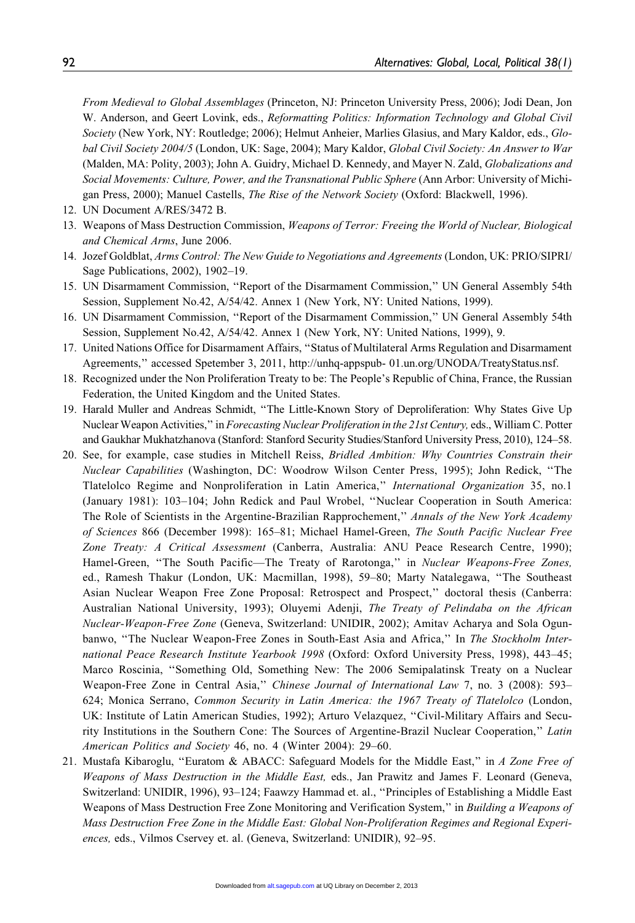From Medieval to Global Assemblages (Princeton, NJ: Princeton University Press, 2006); Jodi Dean, Jon W. Anderson, and Geert Lovink, eds., Reformatting Politics: Information Technology and Global Civil Society (New York, NY: Routledge; 2006); Helmut Anheier, Marlies Glasius, and Mary Kaldor, eds., Global Civil Society 2004/5 (London, UK: Sage, 2004); Mary Kaldor, Global Civil Society: An Answer to War (Malden, MA: Polity, 2003); John A. Guidry, Michael D. Kennedy, and Mayer N. Zald, Globalizations and Social Movements: Culture, Power, and the Transnational Public Sphere (Ann Arbor: University of Michigan Press, 2000); Manuel Castells, The Rise of the Network Society (Oxford: Blackwell, 1996).

- 12. UN Document A/RES/3472 B.
- 13. Weapons of Mass Destruction Commission, Weapons of Terror: Freeing the World of Nuclear, Biological and Chemical Arms, June 2006.
- 14. Jozef Goldblat, Arms Control: The New Guide to Negotiations and Agreements (London, UK: PRIO/SIPRI/ Sage Publications, 2002), 1902–19.
- 15. UN Disarmament Commission, ''Report of the Disarmament Commission,'' UN General Assembly 54th Session, Supplement No.42, A/54/42. Annex 1 (New York, NY: United Nations, 1999).
- 16. UN Disarmament Commission, ''Report of the Disarmament Commission,'' UN General Assembly 54th Session, Supplement No.42, A/54/42. Annex 1 (New York, NY: United Nations, 1999), 9.
- 17. United Nations Office for Disarmament Affairs, ''Status of Multilateral Arms Regulation and Disarmament Agreements,'' accessed Spetember 3, 2011, http://unhq-appspub- 01.un.org/UNODA/TreatyStatus.nsf.
- 18. Recognized under the Non Proliferation Treaty to be: The People's Republic of China, France, the Russian Federation, the United Kingdom and the United States.
- 19. Harald Muller and Andreas Schmidt, ''The Little-Known Story of Deproliferation: Why States Give Up Nuclear Weapon Activities," in Forecasting Nuclear Proliferation in the 21st Century, eds., William C. Potter and Gaukhar Mukhatzhanova (Stanford: Stanford Security Studies/Stanford University Press, 2010), 124–58.
- 20. See, for example, case studies in Mitchell Reiss, Bridled Ambition: Why Countries Constrain their Nuclear Capabilities (Washington, DC: Woodrow Wilson Center Press, 1995); John Redick, ''The Tlatelolco Regime and Nonproliferation in Latin America,'' International Organization 35, no.1 (January 1981): 103–104; John Redick and Paul Wrobel, ''Nuclear Cooperation in South America: The Role of Scientists in the Argentine-Brazilian Rapprochement," Annals of the New York Academy of Sciences 866 (December 1998): 165–81; Michael Hamel-Green, The South Pacific Nuclear Free Zone Treaty: A Critical Assessment (Canberra, Australia: ANU Peace Research Centre, 1990); Hamel-Green, "The South Pacific—The Treaty of Rarotonga," in Nuclear Weapons-Free Zones, ed., Ramesh Thakur (London, UK: Macmillan, 1998), 59–80; Marty Natalegawa, ''The Southeast Asian Nuclear Weapon Free Zone Proposal: Retrospect and Prospect,'' doctoral thesis (Canberra: Australian National University, 1993); Oluyemi Adenji, The Treaty of Pelindaba on the African Nuclear-Weapon-Free Zone (Geneva, Switzerland: UNIDIR, 2002); Amitav Acharya and Sola Ogunbanwo, "The Nuclear Weapon-Free Zones in South-East Asia and Africa," In The Stockholm International Peace Research Institute Yearbook 1998 (Oxford: Oxford University Press, 1998), 443–45; Marco Roscinia, ''Something Old, Something New: The 2006 Semipalatinsk Treaty on a Nuclear Weapon-Free Zone in Central Asia," Chinese Journal of International Law 7, no. 3 (2008): 593– 624; Monica Serrano, Common Security in Latin America: the 1967 Treaty of Tlatelolco (London, UK: Institute of Latin American Studies, 1992); Arturo Velazquez, ''Civil-Military Affairs and Security Institutions in the Southern Cone: The Sources of Argentine-Brazil Nuclear Cooperation," Latin American Politics and Society 46, no. 4 (Winter 2004): 29–60.
- 21. Mustafa Kibaroglu, "Euratom & ABACC: Safeguard Models for the Middle East," in A Zone Free of Weapons of Mass Destruction in the Middle East, eds., Jan Prawitz and James F. Leonard (Geneva, Switzerland: UNIDIR, 1996), 93–124; Faawzy Hammad et. al., ''Principles of Establishing a Middle East Weapons of Mass Destruction Free Zone Monitoring and Verification System," in Building a Weapons of Mass Destruction Free Zone in the Middle East: Global Non-Proliferation Regimes and Regional Experiences, eds., Vilmos Cservey et. al. (Geneva, Switzerland: [UNIDIR\), 9](http://alt.sagepub.com/)2–95.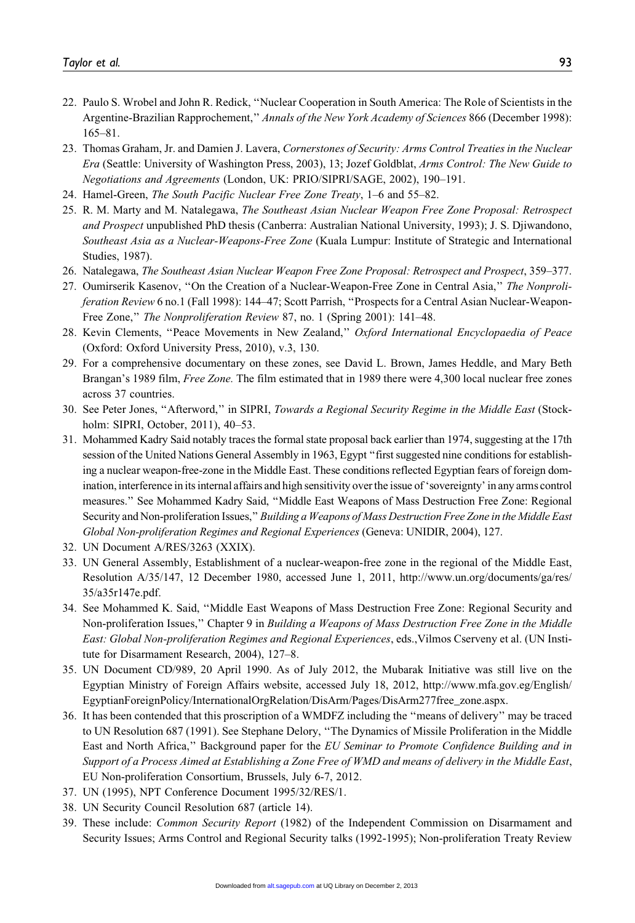- 22. Paulo S. Wrobel and John R. Redick, ''Nuclear Cooperation in South America: The Role of Scientists in the Argentine-Brazilian Rapprochement," Annals of the New York Academy of Sciences 866 (December 1998): 165–81.
- 23. Thomas Graham, Jr. and Damien J. Lavera, Cornerstones of Security: Arms Control Treaties in the Nuclear Era (Seattle: University of Washington Press, 2003), 13; Jozef Goldblat, Arms Control: The New Guide to Negotiations and Agreements (London, UK: PRIO/SIPRI/SAGE, 2002), 190–191.
- 24. Hamel-Green, The South Pacific Nuclear Free Zone Treaty, 1–6 and 55–82.
- 25. R. M. Marty and M. Natalegawa, The Southeast Asian Nuclear Weapon Free Zone Proposal: Retrospect and Prospect unpublished PhD thesis (Canberra: Australian National University, 1993); J. S. Djiwandono, Southeast Asia as a Nuclear-Weapons-Free Zone (Kuala Lumpur: Institute of Strategic and International Studies, 1987).
- 26. Natalegawa, The Southeast Asian Nuclear Weapon Free Zone Proposal: Retrospect and Prospect, 359–377.
- 27. Oumirserik Kasenov, "On the Creation of a Nuclear-Weapon-Free Zone in Central Asia," The Nonproliferation Review 6 no.1 (Fall 1998): 144–47; Scott Parrish, ''Prospects for a Central Asian Nuclear-Weapon-Free Zone,'' The Nonproliferation Review 87, no. 1 (Spring 2001): 141–48.
- 28. Kevin Clements, "Peace Movements in New Zealand," Oxford International Encyclopaedia of Peace (Oxford: Oxford University Press, 2010), v.3, 130.
- 29. For a comprehensive documentary on these zones, see David L. Brown, James Heddle, and Mary Beth Brangan's 1989 film, Free Zone. The film estimated that in 1989 there were 4,300 local nuclear free zones across 37 countries.
- 30. See Peter Jones, ''Afterword,'' in SIPRI, Towards a Regional Security Regime in the Middle East (Stockholm: SIPRI, October, 2011), 40–53.
- 31. Mohammed Kadry Said notably traces the formal state proposal back earlier than 1974, suggesting at the 17th session of the United Nations General Assembly in 1963, Egypt ''first suggested nine conditions for establishing a nuclear weapon-free-zone in the Middle East. These conditions reflected Egyptian fears of foreign domination, interference in its internal affairs and high sensitivity over the issue of 'sovereignty' in any arms control measures.'' See Mohammed Kadry Said, ''Middle East Weapons of Mass Destruction Free Zone: Regional Security and Non-proliferation Issues," Building a Weapons of Mass Destruction Free Zone in the Middle East Global Non-proliferation Regimes and Regional Experiences (Geneva: UNIDIR, 2004), 127.
- 32. UN Document A/RES/3263 (XXIX).
- 33. UN General Assembly, Establishment of a nuclear-weapon-free zone in the regional of the Middle East, Resolution A/35/147, 12 December 1980, accessed June 1, 2011, http://www.un.org/documents/ga/res/ 35/a35r147e.pdf.
- 34. See Mohammed K. Said, ''Middle East Weapons of Mass Destruction Free Zone: Regional Security and Non-proliferation Issues," Chapter 9 in Building a Weapons of Mass Destruction Free Zone in the Middle East: Global Non-proliferation Regimes and Regional Experiences, eds.,Vilmos Cserveny et al. (UN Institute for Disarmament Research, 2004), 127–8.
- 35. UN Document CD/989, 20 April 1990. As of July 2012, the Mubarak Initiative was still live on the Egyptian Ministry of Foreign Affairs website, accessed July 18, 2012, http://www.mfa.gov.eg/English/ EgyptianForeignPolicy/InternationalOrgRelation/DisArm/Pages/DisArm277free\_zone.aspx.
- 36. It has been contended that this proscription of a WMDFZ including the ''means of delivery'' may be traced to UN Resolution 687 (1991). See Stephane Delory, ''The Dynamics of Missile Proliferation in the Middle East and North Africa,'' Background paper for the EU Seminar to Promote Confidence Building and in Support of a Process Aimed at Establishing a Zone Free of WMD and means of delivery in the Middle East, EU Non-proliferation Consortium, Brussels, July 6-7, 2012.
- 37. UN (1995), NPT Conference Document 1995/32/RES/1.
- 38. UN Security Council Resolution 687 (article 14).
- 39. These include: Common Security Report (1982) of the Independent Commission on Disarmament and Security Issues; Arms Control and Regional Security talks [\(1992-1995](http://alt.sagepub.com/)); Non-proliferation Treaty Review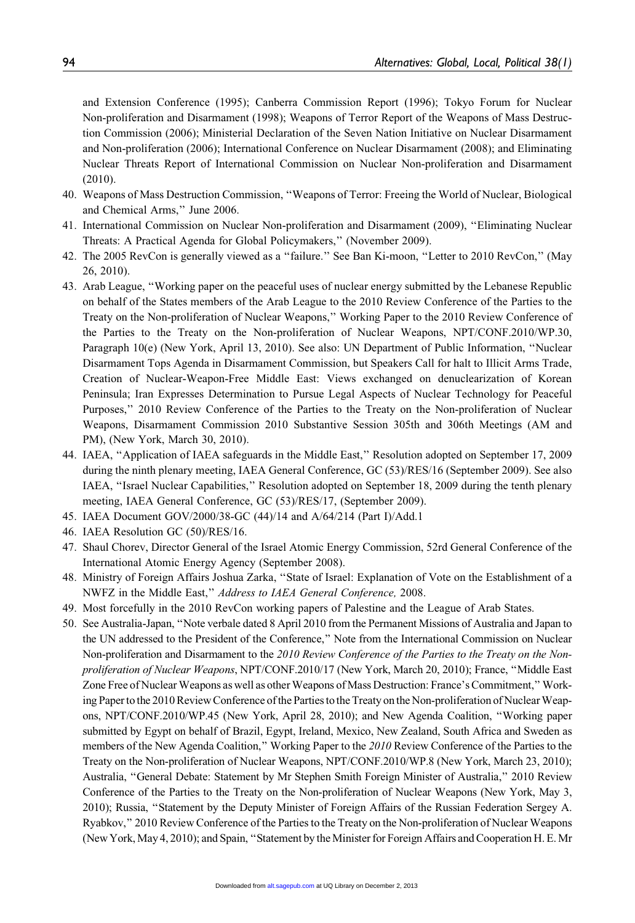and Extension Conference (1995); Canberra Commission Report (1996); Tokyo Forum for Nuclear Non-proliferation and Disarmament (1998); Weapons of Terror Report of the Weapons of Mass Destruction Commission (2006); Ministerial Declaration of the Seven Nation Initiative on Nuclear Disarmament and Non-proliferation (2006); International Conference on Nuclear Disarmament (2008); and Eliminating Nuclear Threats Report of International Commission on Nuclear Non-proliferation and Disarmament (2010).

- 40. Weapons of Mass Destruction Commission, ''Weapons of Terror: Freeing the World of Nuclear, Biological and Chemical Arms,'' June 2006.
- 41. International Commission on Nuclear Non-proliferation and Disarmament (2009), ''Eliminating Nuclear Threats: A Practical Agenda for Global Policymakers,'' (November 2009).
- 42. The 2005 RevCon is generally viewed as a ''failure.'' See Ban Ki-moon, ''Letter to 2010 RevCon,'' (May 26, 2010).
- 43. Arab League, ''Working paper on the peaceful uses of nuclear energy submitted by the Lebanese Republic on behalf of the States members of the Arab League to the 2010 Review Conference of the Parties to the Treaty on the Non-proliferation of Nuclear Weapons,'' Working Paper to the 2010 Review Conference of the Parties to the Treaty on the Non-proliferation of Nuclear Weapons, NPT/CONF.2010/WP.30, Paragraph 10(e) (New York, April 13, 2010). See also: UN Department of Public Information, ''Nuclear Disarmament Tops Agenda in Disarmament Commission, but Speakers Call for halt to Illicit Arms Trade, Creation of Nuclear-Weapon-Free Middle East: Views exchanged on denuclearization of Korean Peninsula; Iran Expresses Determination to Pursue Legal Aspects of Nuclear Technology for Peaceful Purposes,'' 2010 Review Conference of the Parties to the Treaty on the Non-proliferation of Nuclear Weapons, Disarmament Commission 2010 Substantive Session 305th and 306th Meetings (AM and PM), (New York, March 30, 2010).
- 44. IAEA, ''Application of IAEA safeguards in the Middle East,'' Resolution adopted on September 17, 2009 during the ninth plenary meeting, IAEA General Conference, GC (53)/RES/16 (September 2009). See also IAEA, ''Israel Nuclear Capabilities,'' Resolution adopted on September 18, 2009 during the tenth plenary meeting, IAEA General Conference, GC (53)/RES/17, (September 2009).
- 45. IAEA Document GOV/2000/38-GC (44)/14 and A/64/214 (Part I)/Add.1
- 46. IAEA Resolution GC (50)/RES/16.
- 47. Shaul Chorev, Director General of the Israel Atomic Energy Commission, 52rd General Conference of the International Atomic Energy Agency (September 2008).
- 48. Ministry of Foreign Affairs Joshua Zarka, ''State of Israel: Explanation of Vote on the Establishment of a NWFZ in the Middle East,'' Address to IAEA General Conference, 2008.
- 49. Most forcefully in the 2010 RevCon working papers of Palestine and the League of Arab States.
- 50. See Australia-Japan, ''Note verbale dated 8 April 2010 from the Permanent Missions of Australia and Japan to the UN addressed to the President of the Conference,'' Note from the International Commission on Nuclear Non-proliferation and Disarmament to the 2010 Review Conference of the Parties to the Treaty on the Nonproliferation of Nuclear Weapons, NPT/CONF.2010/17 (New York, March 20, 2010); France, ''Middle East Zone Free of Nuclear Weapons as well as other Weapons of Mass Destruction: France's Commitment," Working Paper to the 2010 Review Conference of the Parties to the Treaty on the Non-proliferation of Nuclear Weapons, NPT/CONF.2010/WP.45 (New York, April 28, 2010); and New Agenda Coalition, ''Working paper submitted by Egypt on behalf of Brazil, Egypt, Ireland, Mexico, New Zealand, South Africa and Sweden as members of the New Agenda Coalition," Working Paper to the 2010 Review Conference of the Parties to the Treaty on the Non-proliferation of Nuclear Weapons, NPT/CONF.2010/WP.8 (New York, March 23, 2010); Australia, ''General Debate: Statement by Mr Stephen Smith Foreign Minister of Australia,'' 2010 Review Conference of the Parties to the Treaty on the Non-proliferation of Nuclear Weapons (New York, May 3, 2010); Russia, ''Statement by the Deputy Minister of Foreign Affairs of the Russian Federation Sergey A. Ryabkov,'' 2010 Review Conference of the Parties to the Treaty on the Non-proliferation of Nuclear Weapons (New York, May 4, 2010); and Spain, ''Statement by the Mini[ster for Forei](http://alt.sagepub.com/)gn Affairs and Cooperation H. E. Mr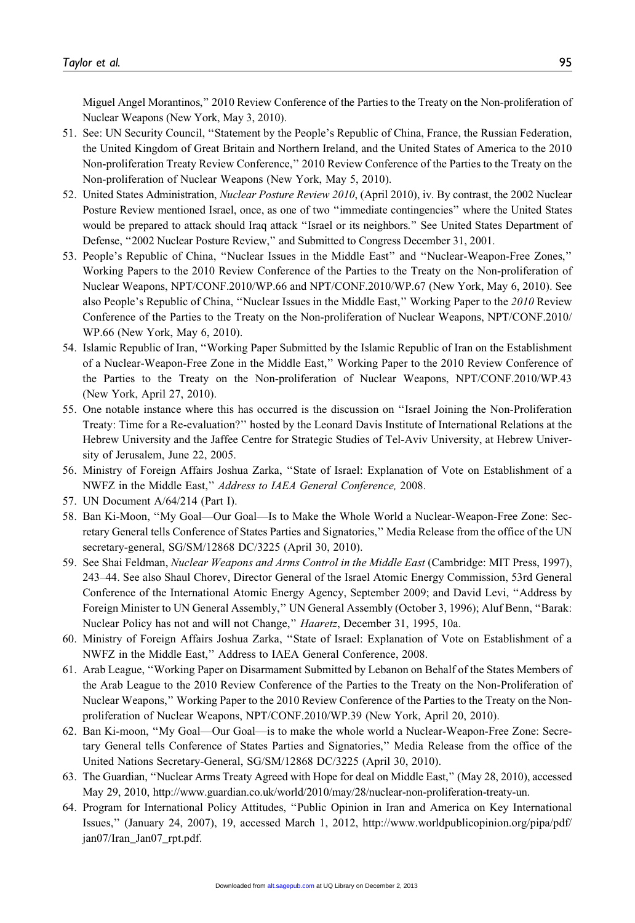Miguel Angel Morantinos,'' 2010 Review Conference of the Parties to the Treaty on the Non-proliferation of Nuclear Weapons (New York, May 3, 2010).

- 51. See: UN Security Council, ''Statement by the People's Republic of China, France, the Russian Federation, the United Kingdom of Great Britain and Northern Ireland, and the United States of America to the 2010 Non-proliferation Treaty Review Conference,'' 2010 Review Conference of the Parties to the Treaty on the Non-proliferation of Nuclear Weapons (New York, May 5, 2010).
- 52. United States Administration, Nuclear Posture Review 2010, (April 2010), iv. By contrast, the 2002 Nuclear Posture Review mentioned Israel, once, as one of two ''immediate contingencies'' where the United States would be prepared to attack should Iraq attack ''Israel or its neighbors.'' See United States Department of Defense, "2002 Nuclear Posture Review," and Submitted to Congress December 31, 2001.
- 53. People's Republic of China, ''Nuclear Issues in the Middle East'' and ''Nuclear-Weapon-Free Zones,'' Working Papers to the 2010 Review Conference of the Parties to the Treaty on the Non-proliferation of Nuclear Weapons, NPT/CONF.2010/WP.66 and NPT/CONF.2010/WP.67 (New York, May 6, 2010). See also People's Republic of China, "Nuclear Issues in the Middle East," Working Paper to the 2010 Review Conference of the Parties to the Treaty on the Non-proliferation of Nuclear Weapons, NPT/CONF.2010/ WP.66 (New York, May 6, 2010).
- 54. Islamic Republic of Iran, ''Working Paper Submitted by the Islamic Republic of Iran on the Establishment of a Nuclear-Weapon-Free Zone in the Middle East,'' Working Paper to the 2010 Review Conference of the Parties to the Treaty on the Non-proliferation of Nuclear Weapons, NPT/CONF.2010/WP.43 (New York, April 27, 2010).
- 55. One notable instance where this has occurred is the discussion on ''Israel Joining the Non-Proliferation Treaty: Time for a Re-evaluation?'' hosted by the Leonard Davis Institute of International Relations at the Hebrew University and the Jaffee Centre for Strategic Studies of Tel-Aviv University, at Hebrew University of Jerusalem, June 22, 2005.
- 56. Ministry of Foreign Affairs Joshua Zarka, ''State of Israel: Explanation of Vote on Establishment of a NWFZ in the Middle East," Address to IAEA General Conference, 2008.
- 57. UN Document A/64/214 (Part I).
- 58. Ban Ki-Moon, ''My Goal—Our Goal—Is to Make the Whole World a Nuclear-Weapon-Free Zone: Secretary General tells Conference of States Parties and Signatories,'' Media Release from the office of the UN secretary-general, SG/SM/12868 DC/3225 (April 30, 2010).
- 59. See Shai Feldman, Nuclear Weapons and Arms Control in the Middle East (Cambridge: MIT Press, 1997), 243–44. See also Shaul Chorev, Director General of the Israel Atomic Energy Commission, 53rd General Conference of the International Atomic Energy Agency, September 2009; and David Levi, ''Address by Foreign Minister to UN General Assembly,'' UN General Assembly (October 3, 1996); Aluf Benn, ''Barak: Nuclear Policy has not and will not Change," *Haaretz*, December 31, 1995, 10a.
- 60. Ministry of Foreign Affairs Joshua Zarka, ''State of Israel: Explanation of Vote on Establishment of a NWFZ in the Middle East,'' Address to IAEA General Conference, 2008.
- 61. Arab League, ''Working Paper on Disarmament Submitted by Lebanon on Behalf of the States Members of the Arab League to the 2010 Review Conference of the Parties to the Treaty on the Non-Proliferation of Nuclear Weapons,'' Working Paper to the 2010 Review Conference of the Parties to the Treaty on the Nonproliferation of Nuclear Weapons, NPT/CONF.2010/WP.39 (New York, April 20, 2010).
- 62. Ban Ki-moon, ''My Goal—Our Goal—is to make the whole world a Nuclear-Weapon-Free Zone: Secretary General tells Conference of States Parties and Signatories,'' Media Release from the office of the United Nations Secretary-General, SG/SM/12868 DC/3225 (April 30, 2010).
- 63. The Guardian, ''Nuclear Arms Treaty Agreed with Hope for deal on Middle East,'' (May 28, 2010), accessed May 29, 2010, http://www.guardian.co.uk/world/2010/may/28/nuclear-non-proliferation-treaty-un.
- 64. Program for International Policy Attitudes, ''Public Opinion in Iran and America on Key International Issues,'' (January 24, 2007), 19, accessed March 1, 2012, http://www.worldpublicopinion.org/pipa/pdf/ jan07/Iran\_Jan07\_rpt.pdf.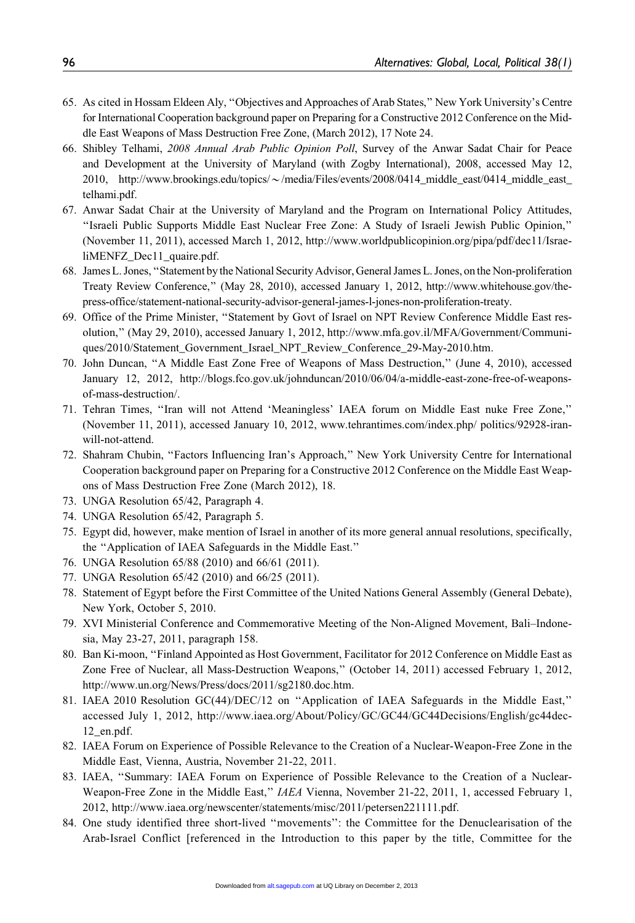- 65. As cited in Hossam Eldeen Aly, ''Objectives and Approaches of Arab States,'' New York University's Centre for International Cooperation background paper on Preparing for a Constructive 2012 Conference on the Middle East Weapons of Mass Destruction Free Zone, (March 2012), 17 Note 24.
- 66. Shibley Telhami, 2008 Annual Arab Public Opinion Poll, Survey of the Anwar Sadat Chair for Peace and Development at the University of Maryland (with Zogby International), 2008, accessed May 12, 2010, http://www.brookings.edu/topics/~/media/Files/events/2008/0414\_middle\_east/0414\_middle\_east\_ telhami.pdf.
- 67. Anwar Sadat Chair at the University of Maryland and the Program on International Policy Attitudes, ''Israeli Public Supports Middle East Nuclear Free Zone: A Study of Israeli Jewish Public Opinion,'' (November 11, 2011), accessed March 1, 2012, http://www.worldpublicopinion.org/pipa/pdf/dec11/IsraeliMENFZ\_Dec11\_quaire.pdf.
- 68. James L. Jones, ''Statement by the National Security Advisor, General James L. Jones, onthe Non-proliferation Treaty Review Conference,'' (May 28, 2010), accessed January 1, 2012, http://www.whitehouse.gov/thepress-office/statement-national-security-advisor-general-james-l-jones-non-proliferation-treaty.
- 69. Office of the Prime Minister, ''Statement by Govt of Israel on NPT Review Conference Middle East resolution,'' (May 29, 2010), accessed January 1, 2012, http://www.mfa.gov.il/MFA/Government/Communiques/2010/Statement\_Government\_Israel\_NPT\_Review\_Conference\_29-May-2010.htm.
- 70. John Duncan, ''A Middle East Zone Free of Weapons of Mass Destruction,'' (June 4, 2010), accessed January 12, 2012, http://blogs.fco.gov.uk/johnduncan/2010/06/04/a-middle-east-zone-free-of-weaponsof-mass-destruction/.
- 71. Tehran Times, ''Iran will not Attend 'Meaningless' IAEA forum on Middle East nuke Free Zone,'' (November 11, 2011), accessed January 10, 2012, www.tehrantimes.com/index.php/ politics/92928-iranwill-not-attend.
- 72. Shahram Chubin, ''Factors Influencing Iran's Approach,'' New York University Centre for International Cooperation background paper on Preparing for a Constructive 2012 Conference on the Middle East Weapons of Mass Destruction Free Zone (March 2012), 18.
- 73. UNGA Resolution 65/42, Paragraph 4.
- 74. UNGA Resolution 65/42, Paragraph 5.
- 75. Egypt did, however, make mention of Israel in another of its more general annual resolutions, specifically, the ''Application of IAEA Safeguards in the Middle East.''
- 76. UNGA Resolution 65/88 (2010) and 66/61 (2011).
- 77. UNGA Resolution 65/42 (2010) and 66/25 (2011).
- 78. Statement of Egypt before the First Committee of the United Nations General Assembly (General Debate), New York, October 5, 2010.
- 79. XVI Ministerial Conference and Commemorative Meeting of the Non-Aligned Movement, Bali–Indonesia, May 23-27, 2011, paragraph 158.
- 80. Ban Ki-moon, ''Finland Appointed as Host Government, Facilitator for 2012 Conference on Middle East as Zone Free of Nuclear, all Mass-Destruction Weapons,'' (October 14, 2011) accessed February 1, 2012, http://www.un.org/News/Press/docs/2011/sg2180.doc.htm.
- 81. IAEA 2010 Resolution GC(44)/DEC/12 on ''Application of IAEA Safeguards in the Middle East,'' accessed July 1, 2012, http://www.iaea.org/About/Policy/GC/GC44/GC44Decisions/English/gc44dec-12\_en.pdf.
- 82. IAEA Forum on Experience of Possible Relevance to the Creation of a Nuclear-Weapon-Free Zone in the Middle East, Vienna, Austria, November 21-22, 2011.
- 83. IAEA, ''Summary: IAEA Forum on Experience of Possible Relevance to the Creation of a Nuclear-Weapon-Free Zone in the Middle East," IAEA Vienna, November 21-22, 2011, 1, accessed February 1, 2012, http://www.iaea.org/newscenter/statements/misc/2011/petersen221111.pdf.
- 84. One study identified three short-lived ''movements'': the Committee for the Denuclearisation of the Arab-Israel Conflict [referenced in the Introduction to [this paper](http://alt.sagepub.com/) by the title, Committee for the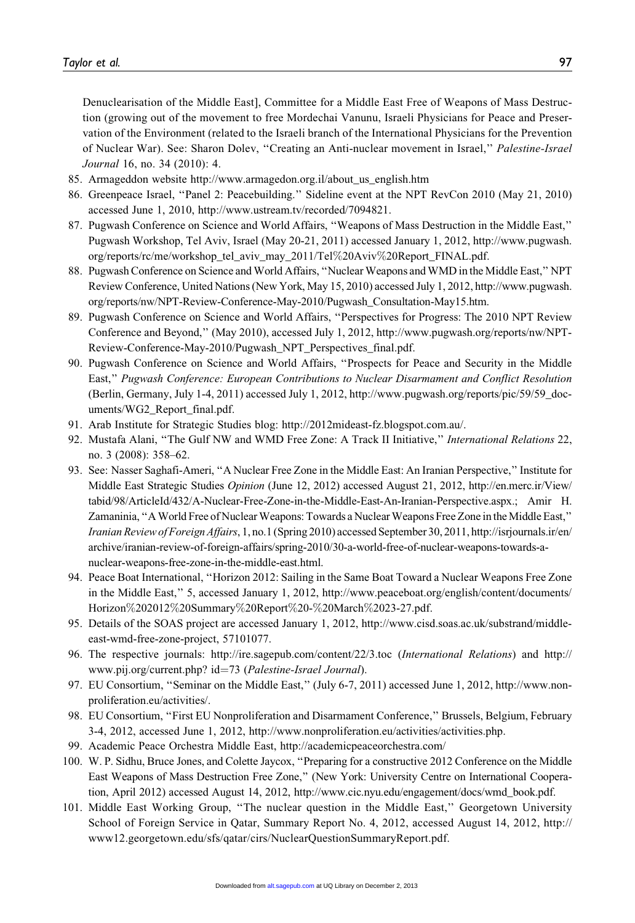Denuclearisation of the Middle East], Committee for a Middle East Free of Weapons of Mass Destruction (growing out of the movement to free Mordechai Vanunu, Israeli Physicians for Peace and Preservation of the Environment (related to the Israeli branch of the International Physicians for the Prevention of Nuclear War). See: Sharon Dolev, "Creating an Anti-nuclear movement in Israel," Palestine-Israel Journal 16, no. 34 (2010): 4.

- 85. Armageddon website http://www.armagedon.org.il/about\_us\_english.htm
- 86. Greenpeace Israel, ''Panel 2: Peacebuilding.'' Sideline event at the NPT RevCon 2010 (May 21, 2010) accessed June 1, 2010, http://www.ustream.tv/recorded/7094821.
- 87. Pugwash Conference on Science and World Affairs, ''Weapons of Mass Destruction in the Middle East,'' Pugwash Workshop, Tel Aviv, Israel (May 20-21, 2011) accessed January 1, 2012, http://www.pugwash. org/reports/rc/me/workshop\_tel\_aviv\_may\_2011/Tel%20Aviv%20Report\_FINAL.pdf.
- 88. Pugwash Conference on Science and World Affairs, ''Nuclear Weapons and WMD in the Middle East,'' NPT Review Conference, United Nations (New York, May 15, 2010) accessed July 1, 2012, http://www.pugwash. org/reports/nw/NPT-Review-Conference-May-2010/Pugwash\_Consultation-May15.htm.
- 89. Pugwash Conference on Science and World Affairs, ''Perspectives for Progress: The 2010 NPT Review Conference and Beyond,'' (May 2010), accessed July 1, 2012, http://www.pugwash.org/reports/nw/NPT-Review-Conference-May-2010/Pugwash\_NPT\_Perspectives\_final.pdf.
- 90. Pugwash Conference on Science and World Affairs, ''Prospects for Peace and Security in the Middle East,'' Pugwash Conference: European Contributions to Nuclear Disarmament and Conflict Resolution (Berlin, Germany, July 1-4, 2011) accessed July 1, 2012, http://www.pugwash.org/reports/pic/59/59\_documents/WG2\_Report\_final.pdf.
- 91. Arab Institute for Strategic Studies blog: http://2012mideast-fz.blogspot.com.au/.
- 92. Mustafa Alani, "The Gulf NW and WMD Free Zone: A Track II Initiative," International Relations 22, no. 3 (2008): 358–62.
- 93. See: Nasser Saghafi-Ameri, ''A Nuclear Free Zone in the Middle East: An Iranian Perspective,'' Institute for Middle East Strategic Studies Opinion (June 12, 2012) accessed August 21, 2012, http://en.merc.ir/View/ tabid/98/ArticleId/432/A-Nuclear-Free-Zone-in-the-Middle-East-An-Iranian-Perspective.aspx.; Amir H. Zamaninia, "A World Free of Nuclear Weapons: Towards a Nuclear Weapons Free Zone in the Middle East," Iranian Review of Foreign Affairs, 1, no.1 (Spring 2010) accessed September 30, 2011, http://isrjournals.ir/en/ archive/iranian-review-of-foreign-affairs/spring-2010/30-a-world-free-of-nuclear-weapons-towards-anuclear-weapons-free-zone-in-the-middle-east.html.
- 94. Peace Boat International, ''Horizon 2012: Sailing in the Same Boat Toward a Nuclear Weapons Free Zone in the Middle East,'' 5, accessed January 1, 2012, http://www.peaceboat.org/english/content/documents/ Horizon%202012%20Summary%20Report%20-%20March%2023-27.pdf.
- 95. Details of the SOAS project are accessed January 1, 2012, http://www.cisd.soas.ac.uk/substrand/middleeast-wmd-free-zone-project, 57101077.
- 96. The respective journals: http://ire.sagepub.com/content/22/3.toc (International Relations) and http:// www.pij.org/current.php? id=73 (Palestine-Israel Journal).
- 97. EU Consortium, "Seminar on the Middle East," (July 6-7, 2011) accessed June 1, 2012, http://www.nonproliferation.eu/activities/.
- 98. EU Consortium, "First EU Nonproliferation and Disarmament Conference," Brussels, Belgium, February 3-4, 2012, accessed June 1, 2012, http://www.nonproliferation.eu/activities/activities.php.
- 99. Academic Peace Orchestra Middle East, http://academicpeaceorchestra.com/
- 100. W. P. Sidhu, Bruce Jones, and Colette Jaycox, ''Preparing for a constructive 2012 Conference on the Middle East Weapons of Mass Destruction Free Zone,'' (New York: University Centre on International Cooperation, April 2012) accessed August 14, 2012, http://www.cic.nyu.edu/engagement/docs/wmd\_book.pdf.
- 101. Middle East Working Group, ''The nuclear question in the Middle East,'' Georgetown University School of Foreign Service in Qatar, Summary Report No. 4, 2012, accessed August 14, 2012, http:// www12.georgetown.edu/sfs/qatar/cirs/NuclearQuestionS[ummaryRe](http://alt.sagepub.com/)port.pdf.